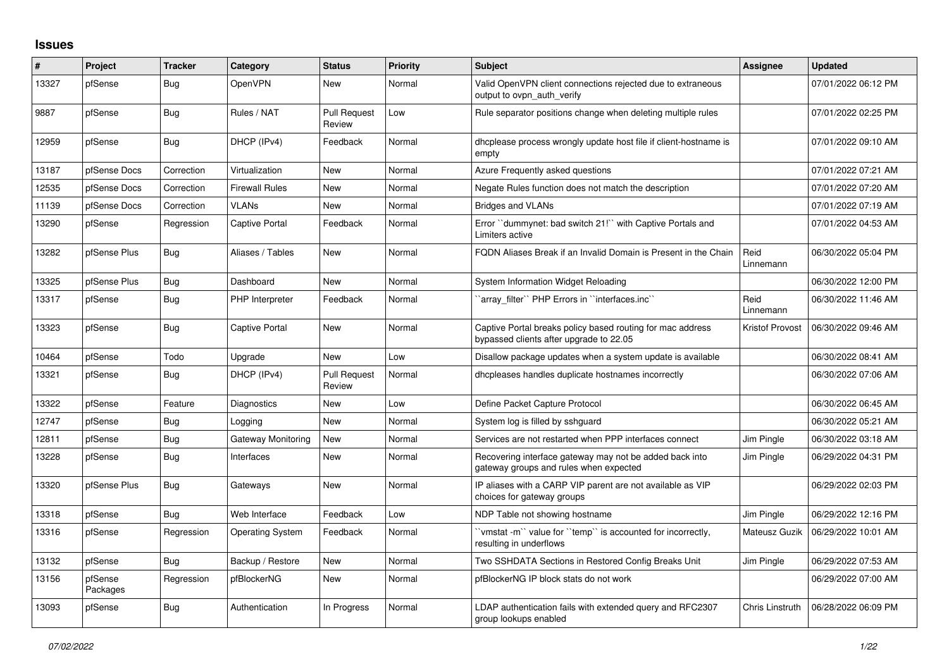## **Issues**

| #     | Project             | <b>Tracker</b> | Category                | <b>Status</b>                 | <b>Priority</b> | <b>Subject</b>                                                                                        | <b>Assignee</b>   | <b>Updated</b>      |
|-------|---------------------|----------------|-------------------------|-------------------------------|-----------------|-------------------------------------------------------------------------------------------------------|-------------------|---------------------|
| 13327 | pfSense             | <b>Bug</b>     | OpenVPN                 | <b>New</b>                    | Normal          | Valid OpenVPN client connections rejected due to extraneous<br>output to ovpn auth verify             |                   | 07/01/2022 06:12 PM |
| 9887  | pfSense             | <b>Bug</b>     | Rules / NAT             | <b>Pull Request</b><br>Review | Low             | Rule separator positions change when deleting multiple rules                                          |                   | 07/01/2022 02:25 PM |
| 12959 | pfSense             | <b>Bug</b>     | DHCP (IPv4)             | Feedback                      | Normal          | dhoplease process wrongly update host file if client-hostname is<br>empty                             |                   | 07/01/2022 09:10 AM |
| 13187 | pfSense Docs        | Correction     | Virtualization          | <b>New</b>                    | Normal          | Azure Frequently asked questions                                                                      |                   | 07/01/2022 07:21 AM |
| 12535 | pfSense Docs        | Correction     | <b>Firewall Rules</b>   | <b>New</b>                    | Normal          | Negate Rules function does not match the description                                                  |                   | 07/01/2022 07:20 AM |
| 11139 | pfSense Docs        | Correction     | <b>VLANs</b>            | <b>New</b>                    | Normal          | <b>Bridges and VLANs</b>                                                                              |                   | 07/01/2022 07:19 AM |
| 13290 | pfSense             | Regression     | Captive Portal          | Feedback                      | Normal          | Error "dummynet: bad switch 21!" with Captive Portals and<br>Limiters active                          |                   | 07/01/2022 04:53 AM |
| 13282 | pfSense Plus        | <b>Bug</b>     | Aliases / Tables        | New                           | Normal          | FQDN Aliases Break if an Invalid Domain is Present in the Chain                                       | Reid<br>Linnemann | 06/30/2022 05:04 PM |
| 13325 | pfSense Plus        | Bug            | Dashboard               | <b>New</b>                    | Normal          | System Information Widget Reloading                                                                   |                   | 06/30/2022 12:00 PM |
| 13317 | pfSense             | <b>Bug</b>     | <b>PHP</b> Interpreter  | Feedback                      | Normal          | 'array_filter'' PHP Errors in "interfaces.inc"                                                        | Reid<br>Linnemann | 06/30/2022 11:46 AM |
| 13323 | pfSense             | Bug            | Captive Portal          | <b>New</b>                    | Normal          | Captive Portal breaks policy based routing for mac address<br>bypassed clients after upgrade to 22.05 | Kristof Provost   | 06/30/2022 09:46 AM |
| 10464 | pfSense             | Todo           | Upgrade                 | <b>New</b>                    | Low             | Disallow package updates when a system update is available                                            |                   | 06/30/2022 08:41 AM |
| 13321 | pfSense             | <b>Bug</b>     | DHCP (IPv4)             | <b>Pull Request</b><br>Review | Normal          | dhcpleases handles duplicate hostnames incorrectly                                                    |                   | 06/30/2022 07:06 AM |
| 13322 | pfSense             | Feature        | Diagnostics             | <b>New</b>                    | Low             | Define Packet Capture Protocol                                                                        |                   | 06/30/2022 06:45 AM |
| 12747 | pfSense             | <b>Bug</b>     | Logging                 | <b>New</b>                    | Normal          | System log is filled by sshguard                                                                      |                   | 06/30/2022 05:21 AM |
| 12811 | pfSense             | <b>Bug</b>     | Gateway Monitoring      | <b>New</b>                    | Normal          | Services are not restarted when PPP interfaces connect                                                | Jim Pingle        | 06/30/2022 03:18 AM |
| 13228 | pfSense             | Bug            | Interfaces              | New                           | Normal          | Recovering interface gateway may not be added back into<br>gateway groups and rules when expected     | Jim Pingle        | 06/29/2022 04:31 PM |
| 13320 | pfSense Plus        | <b>Bug</b>     | Gateways                | <b>New</b>                    | Normal          | IP aliases with a CARP VIP parent are not available as VIP<br>choices for gateway groups              |                   | 06/29/2022 02:03 PM |
| 13318 | pfSense             | <b>Bug</b>     | Web Interface           | Feedback                      | Low             | NDP Table not showing hostname                                                                        | Jim Pingle        | 06/29/2022 12:16 PM |
| 13316 | pfSense             | Regression     | <b>Operating System</b> | Feedback                      | Normal          | 'vmstat -m'' value for ''temp'' is accounted for incorrectly,<br>resulting in underflows              | Mateusz Guzik     | 06/29/2022 10:01 AM |
| 13132 | pfSense             | <b>Bug</b>     | Backup / Restore        | <b>New</b>                    | Normal          | Two SSHDATA Sections in Restored Config Breaks Unit                                                   | Jim Pingle        | 06/29/2022 07:53 AM |
| 13156 | pfSense<br>Packages | Regression     | pfBlockerNG             | <b>New</b>                    | Normal          | pfBlockerNG IP block stats do not work                                                                |                   | 06/29/2022 07:00 AM |
| 13093 | pfSense             | <b>Bug</b>     | Authentication          | In Progress                   | Normal          | LDAP authentication fails with extended query and RFC2307<br>group lookups enabled                    | Chris Linstruth   | 06/28/2022 06:09 PM |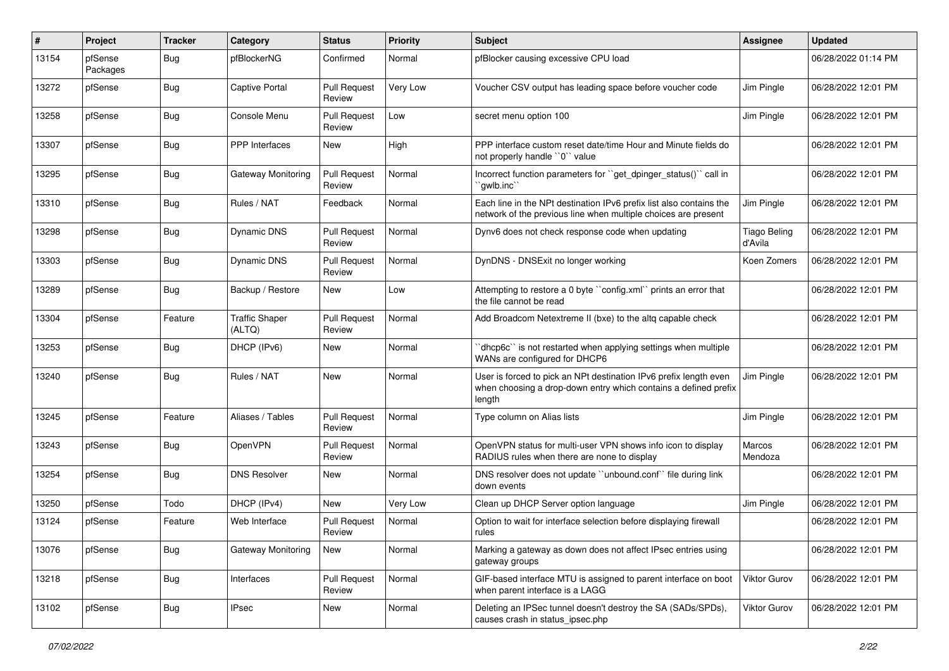| #     | Project             | <b>Tracker</b> | Category                        | <b>Status</b>                 | <b>Priority</b> | Subject                                                                                                                                        | <b>Assignee</b>                | <b>Updated</b>      |
|-------|---------------------|----------------|---------------------------------|-------------------------------|-----------------|------------------------------------------------------------------------------------------------------------------------------------------------|--------------------------------|---------------------|
| 13154 | pfSense<br>Packages | Bug            | pfBlockerNG                     | Confirmed                     | Normal          | pfBlocker causing excessive CPU load                                                                                                           |                                | 06/28/2022 01:14 PM |
| 13272 | pfSense             | Bug            | Captive Portal                  | <b>Pull Request</b><br>Review | Very Low        | Voucher CSV output has leading space before voucher code                                                                                       | Jim Pingle                     | 06/28/2022 12:01 PM |
| 13258 | pfSense             | <b>Bug</b>     | Console Menu                    | <b>Pull Request</b><br>Review | Low             | secret menu option 100                                                                                                                         | Jim Pingle                     | 06/28/2022 12:01 PM |
| 13307 | pfSense             | Bug            | PPP Interfaces                  | New                           | High            | PPP interface custom reset date/time Hour and Minute fields do<br>not properly handle "0" value                                                |                                | 06/28/2022 12:01 PM |
| 13295 | pfSense             | Bug            | <b>Gateway Monitoring</b>       | <b>Pull Request</b><br>Review | Normal          | Incorrect function parameters for "get dpinger status()" call in<br>`gwlb.inc                                                                  |                                | 06/28/2022 12:01 PM |
| 13310 | pfSense             | <b>Bug</b>     | Rules / NAT                     | Feedback                      | Normal          | Each line in the NPt destination IPv6 prefix list also contains the<br>network of the previous line when multiple choices are present          | Jim Pingle                     | 06/28/2022 12:01 PM |
| 13298 | pfSense             | Bug            | Dynamic DNS                     | <b>Pull Request</b><br>Review | Normal          | Dynv6 does not check response code when updating                                                                                               | <b>Tiago Beling</b><br>d'Avila | 06/28/2022 12:01 PM |
| 13303 | pfSense             | Bug            | Dynamic DNS                     | <b>Pull Request</b><br>Review | Normal          | DynDNS - DNSExit no longer working                                                                                                             | Koen Zomers                    | 06/28/2022 12:01 PM |
| 13289 | pfSense             | <b>Bug</b>     | Backup / Restore                | New                           | Low             | Attempting to restore a 0 byte "config.xml" prints an error that<br>the file cannot be read                                                    |                                | 06/28/2022 12:01 PM |
| 13304 | pfSense             | Feature        | <b>Traffic Shaper</b><br>(ALTQ) | <b>Pull Request</b><br>Review | Normal          | Add Broadcom Netextreme II (bxe) to the altg capable check                                                                                     |                                | 06/28/2022 12:01 PM |
| 13253 | pfSense             | Bug            | DHCP (IPv6)                     | New                           | Normal          | 'dhcp6c' is not restarted when applying settings when multiple<br>WANs are configured for DHCP6                                                |                                | 06/28/2022 12:01 PM |
| 13240 | pfSense             | Bug            | Rules / NAT                     | <b>New</b>                    | Normal          | User is forced to pick an NPt destination IPv6 prefix length even<br>when choosing a drop-down entry which contains a defined prefix<br>length | Jim Pingle                     | 06/28/2022 12:01 PM |
| 13245 | pfSense             | Feature        | Aliases / Tables                | <b>Pull Request</b><br>Review | Normal          | Type column on Alias lists                                                                                                                     | Jim Pingle                     | 06/28/2022 12:01 PM |
| 13243 | pfSense             | Bug            | <b>OpenVPN</b>                  | <b>Pull Request</b><br>Review | Normal          | OpenVPN status for multi-user VPN shows info icon to display<br>RADIUS rules when there are none to display                                    | Marcos<br>Mendoza              | 06/28/2022 12:01 PM |
| 13254 | pfSense             | <b>Bug</b>     | <b>DNS Resolver</b>             | <b>New</b>                    | Normal          | DNS resolver does not update "unbound.conf" file during link<br>down events                                                                    |                                | 06/28/2022 12:01 PM |
| 13250 | pfSense             | Todo           | DHCP (IPv4)                     | <b>New</b>                    | Very Low        | Clean up DHCP Server option language                                                                                                           | Jim Pingle                     | 06/28/2022 12:01 PM |
| 13124 | pfSense             | Feature        | Web Interface                   | <b>Pull Request</b><br>Review | Normal          | Option to wait for interface selection before displaying firewall<br>rules                                                                     |                                | 06/28/2022 12:01 PM |
| 13076 | pfSense             | <b>Bug</b>     | Gateway Monitoring              | New                           | Normal          | Marking a gateway as down does not affect IPsec entries using<br>gateway groups                                                                |                                | 06/28/2022 12:01 PM |
| 13218 | pfSense             | <b>Bug</b>     | Interfaces                      | <b>Pull Request</b><br>Review | Normal          | GIF-based interface MTU is assigned to parent interface on boot<br>when parent interface is a LAGG                                             | Viktor Gurov                   | 06/28/2022 12:01 PM |
| 13102 | pfSense             | <b>Bug</b>     | <b>IPsec</b>                    | New                           | Normal          | Deleting an IPSec tunnel doesn't destroy the SA (SADs/SPDs),<br>causes crash in status_ipsec.php                                               | Viktor Gurov                   | 06/28/2022 12:01 PM |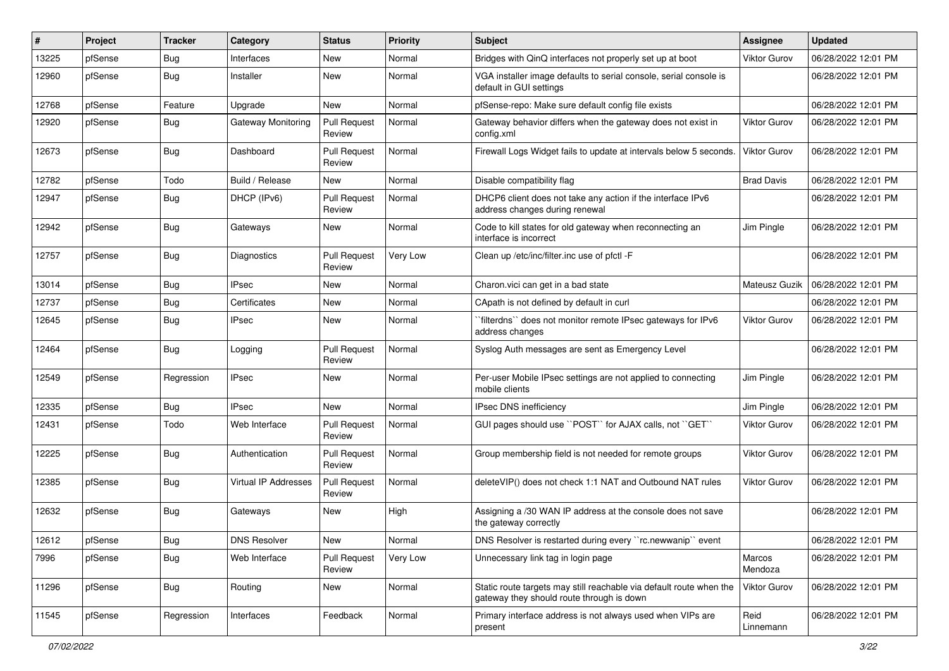| ∦     | Project | <b>Tracker</b> | Category                    | <b>Status</b>                 | <b>Priority</b> | Subject                                                                                                          | <b>Assignee</b>     | <b>Updated</b>      |
|-------|---------|----------------|-----------------------------|-------------------------------|-----------------|------------------------------------------------------------------------------------------------------------------|---------------------|---------------------|
| 13225 | pfSense | Bug            | Interfaces                  | New                           | Normal          | Bridges with QinQ interfaces not properly set up at boot                                                         | <b>Viktor Gurov</b> | 06/28/2022 12:01 PM |
| 12960 | pfSense | <b>Bug</b>     | Installer                   | <b>New</b>                    | Normal          | VGA installer image defaults to serial console, serial console is<br>default in GUI settings                     |                     | 06/28/2022 12:01 PM |
| 12768 | pfSense | Feature        | Upgrade                     | <b>New</b>                    | Normal          | pfSense-repo: Make sure default config file exists                                                               |                     | 06/28/2022 12:01 PM |
| 12920 | pfSense | <b>Bug</b>     | Gateway Monitoring          | <b>Pull Request</b><br>Review | Normal          | Gateway behavior differs when the gateway does not exist in<br>config.xml                                        | <b>Viktor Gurov</b> | 06/28/2022 12:01 PM |
| 12673 | pfSense | <b>Bug</b>     | Dashboard                   | <b>Pull Request</b><br>Review | Normal          | Firewall Logs Widget fails to update at intervals below 5 seconds.                                               | <b>Viktor Gurov</b> | 06/28/2022 12:01 PM |
| 12782 | pfSense | Todo           | Build / Release             | <b>New</b>                    | Normal          | Disable compatibility flag                                                                                       | <b>Brad Davis</b>   | 06/28/2022 12:01 PM |
| 12947 | pfSense | <b>Bug</b>     | DHCP (IPv6)                 | <b>Pull Request</b><br>Review | Normal          | DHCP6 client does not take any action if the interface IPv6<br>address changes during renewal                    |                     | 06/28/2022 12:01 PM |
| 12942 | pfSense | <b>Bug</b>     | Gateways                    | <b>New</b>                    | Normal          | Code to kill states for old gateway when reconnecting an<br>interface is incorrect                               | Jim Pingle          | 06/28/2022 12:01 PM |
| 12757 | pfSense | Bug            | <b>Diagnostics</b>          | <b>Pull Request</b><br>Review | Very Low        | Clean up /etc/inc/filter.inc use of pfctl -F                                                                     |                     | 06/28/2022 12:01 PM |
| 13014 | pfSense | Bug            | <b>IPsec</b>                | <b>New</b>                    | Normal          | Charon.vici can get in a bad state                                                                               | Mateusz Guzik       | 06/28/2022 12:01 PM |
| 12737 | pfSense | Bug            | Certificates                | New                           | Normal          | CApath is not defined by default in curl                                                                         |                     | 06/28/2022 12:01 PM |
| 12645 | pfSense | <b>Bug</b>     | <b>IPsec</b>                | New                           | Normal          | `filterdns`` does not monitor remote IPsec gateways for IPv6<br>address changes                                  | <b>Viktor Gurov</b> | 06/28/2022 12:01 PM |
| 12464 | pfSense | <b>Bug</b>     | Logging                     | <b>Pull Request</b><br>Review | Normal          | Syslog Auth messages are sent as Emergency Level                                                                 |                     | 06/28/2022 12:01 PM |
| 12549 | pfSense | Regression     | <b>IPsec</b>                | New                           | Normal          | Per-user Mobile IPsec settings are not applied to connecting<br>mobile clients                                   | Jim Pingle          | 06/28/2022 12:01 PM |
| 12335 | pfSense | Bug            | <b>IPsec</b>                | <b>New</b>                    | Normal          | IPsec DNS inefficiency                                                                                           | Jim Pingle          | 06/28/2022 12:01 PM |
| 12431 | pfSense | Todo           | Web Interface               | <b>Pull Request</b><br>Review | Normal          | GUI pages should use "POST" for AJAX calls, not "GET"                                                            | <b>Viktor Gurov</b> | 06/28/2022 12:01 PM |
| 12225 | pfSense | <b>Bug</b>     | Authentication              | <b>Pull Request</b><br>Review | Normal          | Group membership field is not needed for remote groups                                                           | Viktor Gurov        | 06/28/2022 12:01 PM |
| 12385 | pfSense | <b>Bug</b>     | <b>Virtual IP Addresses</b> | <b>Pull Request</b><br>Review | Normal          | deleteVIP() does not check 1:1 NAT and Outbound NAT rules                                                        | Viktor Gurov        | 06/28/2022 12:01 PM |
| 12632 | pfSense | <b>Bug</b>     | Gateways                    | New                           | High            | Assigning a /30 WAN IP address at the console does not save<br>the gateway correctly                             |                     | 06/28/2022 12:01 PM |
| 12612 | pfSense | <b>Bug</b>     | <b>DNS Resolver</b>         | New                           | Normal          | DNS Resolver is restarted during every "rc.newwanip" event                                                       |                     | 06/28/2022 12:01 PM |
| 7996  | pfSense | <b>Bug</b>     | Web Interface               | <b>Pull Request</b><br>Review | Very Low        | Unnecessary link tag in login page                                                                               | Marcos<br>Mendoza   | 06/28/2022 12:01 PM |
| 11296 | pfSense | Bug            | Routing                     | New                           | Normal          | Static route targets may still reachable via default route when the<br>gateway they should route through is down | Viktor Gurov        | 06/28/2022 12:01 PM |
| 11545 | pfSense | Regression     | Interfaces                  | Feedback                      | Normal          | Primary interface address is not always used when VIPs are<br>present                                            | Reid<br>Linnemann   | 06/28/2022 12:01 PM |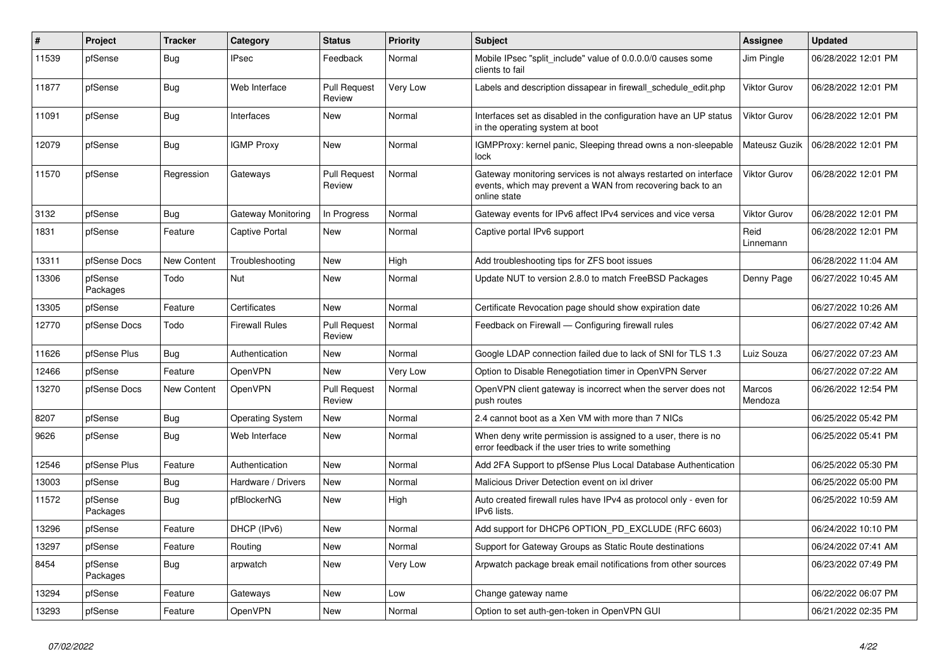| #     | <b>Project</b>      | <b>Tracker</b> | Category                | <b>Status</b>                 | Priority | <b>Subject</b>                                                                                                                                 | <b>Assignee</b>     | <b>Updated</b>      |
|-------|---------------------|----------------|-------------------------|-------------------------------|----------|------------------------------------------------------------------------------------------------------------------------------------------------|---------------------|---------------------|
| 11539 | pfSense             | Bug            | <b>IPsec</b>            | Feedback                      | Normal   | Mobile IPsec "split include" value of 0.0.0.0/0 causes some<br>clients to fail                                                                 | Jim Pingle          | 06/28/2022 12:01 PM |
| 11877 | pfSense             | Bug            | Web Interface           | <b>Pull Request</b><br>Review | Very Low | Labels and description dissapear in firewall schedule edit.php                                                                                 | <b>Viktor Gurov</b> | 06/28/2022 12:01 PM |
| 11091 | pfSense             | <b>Bug</b>     | Interfaces              | <b>New</b>                    | Normal   | Interfaces set as disabled in the configuration have an UP status<br>in the operating system at boot                                           | <b>Viktor Gurov</b> | 06/28/2022 12:01 PM |
| 12079 | pfSense             | Bug            | <b>IGMP Proxy</b>       | <b>New</b>                    | Normal   | IGMPProxy: kernel panic, Sleeping thread owns a non-sleepable<br>lock                                                                          | Mateusz Guzik       | 06/28/2022 12:01 PM |
| 11570 | pfSense             | Regression     | Gateways                | <b>Pull Request</b><br>Review | Normal   | Gateway monitoring services is not always restarted on interface<br>events, which may prevent a WAN from recovering back to an<br>online state | <b>Viktor Gurov</b> | 06/28/2022 12:01 PM |
| 3132  | pfSense             | <b>Bug</b>     | Gateway Monitoring      | In Progress                   | Normal   | Gateway events for IPv6 affect IPv4 services and vice versa                                                                                    | <b>Viktor Gurov</b> | 06/28/2022 12:01 PM |
| 1831  | pfSense             | Feature        | Captive Portal          | <b>New</b>                    | Normal   | Captive portal IPv6 support                                                                                                                    | Reid<br>Linnemann   | 06/28/2022 12:01 PM |
| 13311 | pfSense Docs        | New Content    | Troubleshooting         | New                           | High     | Add troubleshooting tips for ZFS boot issues                                                                                                   |                     | 06/28/2022 11:04 AM |
| 13306 | pfSense<br>Packages | Todo           | <b>Nut</b>              | <b>New</b>                    | Normal   | Update NUT to version 2.8.0 to match FreeBSD Packages                                                                                          | Denny Page          | 06/27/2022 10:45 AM |
| 13305 | pfSense             | Feature        | Certificates            | New                           | Normal   | Certificate Revocation page should show expiration date                                                                                        |                     | 06/27/2022 10:26 AM |
| 12770 | pfSense Docs        | Todo           | <b>Firewall Rules</b>   | <b>Pull Request</b><br>Review | Normal   | Feedback on Firewall - Configuring firewall rules                                                                                              |                     | 06/27/2022 07:42 AM |
| 11626 | pfSense Plus        | Bug            | Authentication          | New                           | Normal   | Google LDAP connection failed due to lack of SNI for TLS 1.3                                                                                   | Luiz Souza          | 06/27/2022 07:23 AM |
| 12466 | pfSense             | Feature        | <b>OpenVPN</b>          | <b>New</b>                    | Very Low | Option to Disable Renegotiation timer in OpenVPN Server                                                                                        |                     | 06/27/2022 07:22 AM |
| 13270 | pfSense Docs        | New Content    | OpenVPN                 | <b>Pull Request</b><br>Review | Normal   | OpenVPN client gateway is incorrect when the server does not<br>push routes                                                                    | Marcos<br>Mendoza   | 06/26/2022 12:54 PM |
| 8207  | pfSense             | <b>Bug</b>     | <b>Operating System</b> | New                           | Normal   | 2.4 cannot boot as a Xen VM with more than 7 NICs                                                                                              |                     | 06/25/2022 05:42 PM |
| 9626  | pfSense             | Bug            | Web Interface           | <b>New</b>                    | Normal   | When deny write permission is assigned to a user, there is no<br>error feedback if the user tries to write something                           |                     | 06/25/2022 05:41 PM |
| 12546 | pfSense Plus        | Feature        | Authentication          | New                           | Normal   | Add 2FA Support to pfSense Plus Local Database Authentication                                                                                  |                     | 06/25/2022 05:30 PM |
| 13003 | pfSense             | Bug            | Hardware / Drivers      | New                           | Normal   | Malicious Driver Detection event on ixl driver                                                                                                 |                     | 06/25/2022 05:00 PM |
| 11572 | pfSense<br>Packages | Bug            | pfBlockerNG             | <b>New</b>                    | High     | Auto created firewall rules have IPv4 as protocol only - even for<br>IPv6 lists.                                                               |                     | 06/25/2022 10:59 AM |
| 13296 | pfSense             | Feature        | DHCP (IPv6)             | <b>New</b>                    | Normal   | Add support for DHCP6 OPTION PD EXCLUDE (RFC 6603)                                                                                             |                     | 06/24/2022 10:10 PM |
| 13297 | pfSense             | Feature        | Routing                 | <b>New</b>                    | Normal   | Support for Gateway Groups as Static Route destinations                                                                                        |                     | 06/24/2022 07:41 AM |
| 8454  | pfSense<br>Packages | <b>Bug</b>     | arpwatch                | <b>New</b>                    | Very Low | Arpwatch package break email notifications from other sources                                                                                  |                     | 06/23/2022 07:49 PM |
| 13294 | pfSense             | Feature        | Gateways                | New                           | Low      | Change gateway name                                                                                                                            |                     | 06/22/2022 06:07 PM |
| 13293 | pfSense             | Feature        | OpenVPN                 | <b>New</b>                    | Normal   | Option to set auth-gen-token in OpenVPN GUI                                                                                                    |                     | 06/21/2022 02:35 PM |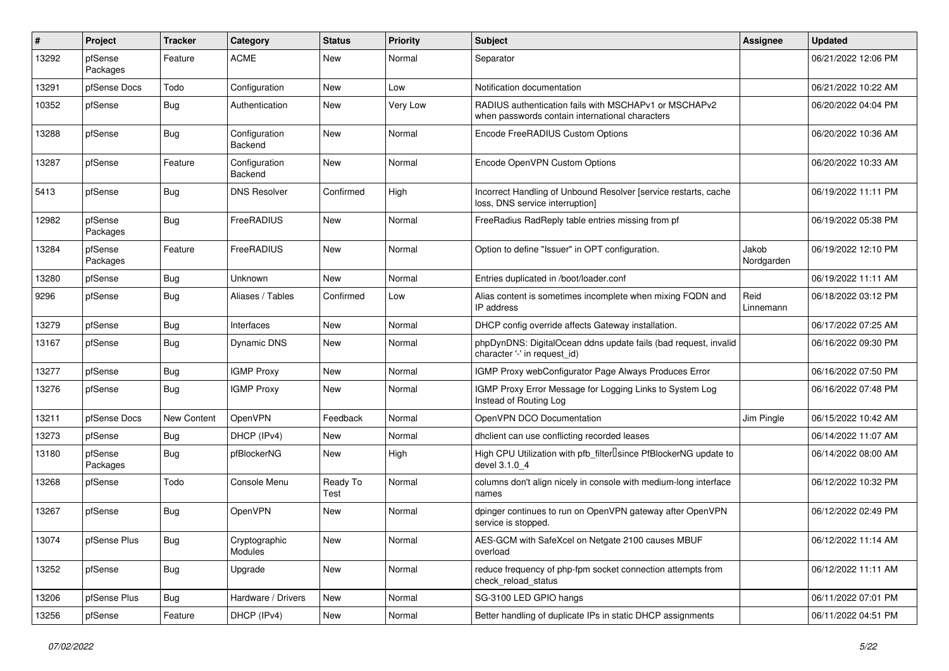| ∦     | Project             | <b>Tracker</b> | Category                 | <b>Status</b>    | <b>Priority</b> | <b>Subject</b>                                                                                           | Assignee            | <b>Updated</b>      |
|-------|---------------------|----------------|--------------------------|------------------|-----------------|----------------------------------------------------------------------------------------------------------|---------------------|---------------------|
| 13292 | pfSense<br>Packages | Feature        | <b>ACME</b>              | New              | Normal          | Separator                                                                                                |                     | 06/21/2022 12:06 PM |
| 13291 | pfSense Docs        | Todo           | Configuration            | New              | Low             | Notification documentation                                                                               |                     | 06/21/2022 10:22 AM |
| 10352 | pfSense             | <b>Bug</b>     | Authentication           | New              | Very Low        | RADIUS authentication fails with MSCHAPv1 or MSCHAPv2<br>when passwords contain international characters |                     | 06/20/2022 04:04 PM |
| 13288 | pfSense             | Bug            | Configuration<br>Backend | <b>New</b>       | Normal          | Encode FreeRADIUS Custom Options                                                                         |                     | 06/20/2022 10:36 AM |
| 13287 | pfSense             | Feature        | Configuration<br>Backend | <b>New</b>       | Normal          | Encode OpenVPN Custom Options                                                                            |                     | 06/20/2022 10:33 AM |
| 5413  | pfSense             | <b>Bug</b>     | <b>DNS Resolver</b>      | Confirmed        | High            | Incorrect Handling of Unbound Resolver [service restarts, cache<br>loss, DNS service interruption]       |                     | 06/19/2022 11:11 PM |
| 12982 | pfSense<br>Packages | <b>Bug</b>     | FreeRADIUS               | <b>New</b>       | Normal          | FreeRadius RadReply table entries missing from pf                                                        |                     | 06/19/2022 05:38 PM |
| 13284 | pfSense<br>Packages | Feature        | FreeRADIUS               | New              | Normal          | Option to define "Issuer" in OPT configuration.                                                          | Jakob<br>Nordgarden | 06/19/2022 12:10 PM |
| 13280 | pfSense             | <b>Bug</b>     | Unknown                  | New              | Normal          | Entries duplicated in /boot/loader.conf                                                                  |                     | 06/19/2022 11:11 AM |
| 9296  | pfSense             | <b>Bug</b>     | Aliases / Tables         | Confirmed        | Low             | Alias content is sometimes incomplete when mixing FQDN and<br>IP address                                 | Reid<br>Linnemann   | 06/18/2022 03:12 PM |
| 13279 | pfSense             | <b>Bug</b>     | Interfaces               | <b>New</b>       | Normal          | DHCP config override affects Gateway installation.                                                       |                     | 06/17/2022 07:25 AM |
| 13167 | pfSense             | <b>Bug</b>     | Dynamic DNS              | <b>New</b>       | Normal          | phpDynDNS: DigitalOcean ddns update fails (bad request, invalid<br>character '-' in request_id)          |                     | 06/16/2022 09:30 PM |
| 13277 | pfSense             | <b>Bug</b>     | <b>IGMP Proxy</b>        | New              | Normal          | IGMP Proxy webConfigurator Page Always Produces Error                                                    |                     | 06/16/2022 07:50 PM |
| 13276 | pfSense             | <b>Bug</b>     | <b>IGMP Proxy</b>        | New              | Normal          | IGMP Proxy Error Message for Logging Links to System Log<br>Instead of Routing Log                       |                     | 06/16/2022 07:48 PM |
| 13211 | pfSense Docs        | New Content    | OpenVPN                  | Feedback         | Normal          | OpenVPN DCO Documentation                                                                                | Jim Pingle          | 06/15/2022 10:42 AM |
| 13273 | pfSense             | <b>Bug</b>     | DHCP (IPv4)              | New              | Normal          | dhclient can use conflicting recorded leases                                                             |                     | 06/14/2022 11:07 AM |
| 13180 | pfSense<br>Packages | <b>Bug</b>     | pfBlockerNG              | <b>New</b>       | High            | High CPU Utilization with pfb_filterlsince PfBlockerNG update to<br>devel 3.1.0 4                        |                     | 06/14/2022 08:00 AM |
| 13268 | pfSense             | Todo           | Console Menu             | Ready To<br>Test | Normal          | columns don't align nicely in console with medium-long interface<br>names                                |                     | 06/12/2022 10:32 PM |
| 13267 | pfSense             | <b>Bug</b>     | OpenVPN                  | New              | Normal          | dpinger continues to run on OpenVPN gateway after OpenVPN<br>service is stopped.                         |                     | 06/12/2022 02:49 PM |
| 13074 | pfSense Plus        | <b>Bug</b>     | Cryptographic<br>Modules | New              | Normal          | AES-GCM with SafeXcel on Netgate 2100 causes MBUF<br>overload                                            |                     | 06/12/2022 11:14 AM |
| 13252 | pfSense             | <b>Bug</b>     | Upgrade                  | New              | Normal          | reduce frequency of php-fpm socket connection attempts from<br>check_reload_status                       |                     | 06/12/2022 11:11 AM |
| 13206 | pfSense Plus        | <b>Bug</b>     | Hardware / Drivers       | New              | Normal          | SG-3100 LED GPIO hangs                                                                                   |                     | 06/11/2022 07:01 PM |
| 13256 | pfSense             | Feature        | DHCP (IPv4)              | New              | Normal          | Better handling of duplicate IPs in static DHCP assignments                                              |                     | 06/11/2022 04:51 PM |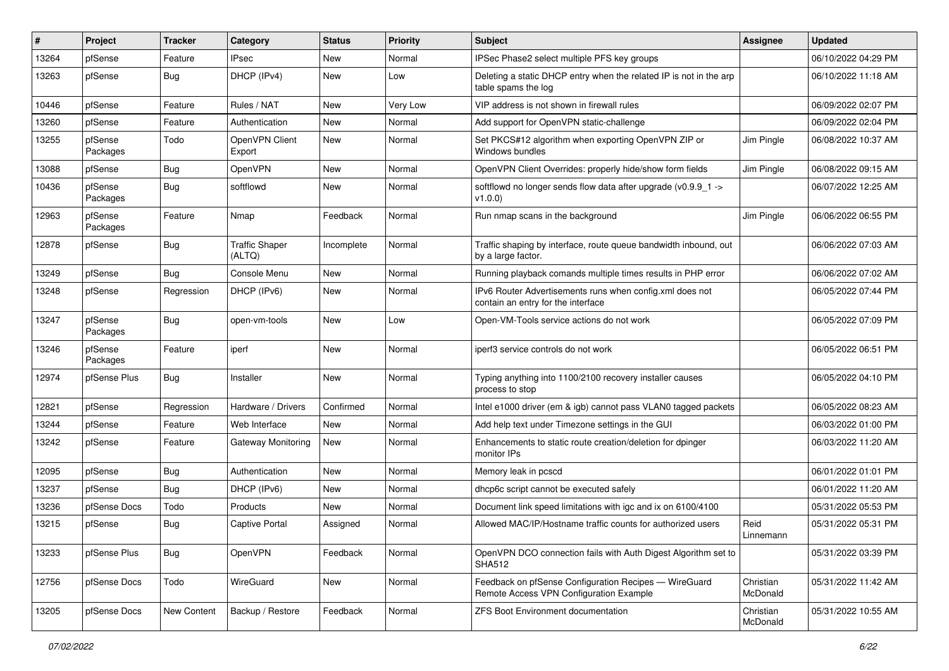| #     | Project             | <b>Tracker</b> | Category                        | <b>Status</b> | <b>Priority</b> | Subject                                                                                          | <b>Assignee</b>       | <b>Updated</b>      |
|-------|---------------------|----------------|---------------------------------|---------------|-----------------|--------------------------------------------------------------------------------------------------|-----------------------|---------------------|
| 13264 | pfSense             | Feature        | IPsec                           | New           | Normal          | IPSec Phase2 select multiple PFS key groups                                                      |                       | 06/10/2022 04:29 PM |
| 13263 | pfSense             | Bug            | DHCP (IPv4)                     | New           | Low             | Deleting a static DHCP entry when the related IP is not in the arp<br>table spams the log        |                       | 06/10/2022 11:18 AM |
| 10446 | pfSense             | Feature        | Rules / NAT                     | <b>New</b>    | Very Low        | VIP address is not shown in firewall rules                                                       |                       | 06/09/2022 02:07 PM |
| 13260 | pfSense             | Feature        | Authentication                  | <b>New</b>    | Normal          | Add support for OpenVPN static-challenge                                                         |                       | 06/09/2022 02:04 PM |
| 13255 | pfSense<br>Packages | Todo           | OpenVPN Client<br>Export        | New           | Normal          | Set PKCS#12 algorithm when exporting OpenVPN ZIP or<br>Windows bundles                           | Jim Pingle            | 06/08/2022 10:37 AM |
| 13088 | pfSense             | <b>Bug</b>     | OpenVPN                         | <b>New</b>    | Normal          | OpenVPN Client Overrides: properly hide/show form fields                                         | Jim Pingle            | 06/08/2022 09:15 AM |
| 10436 | pfSense<br>Packages | Bug            | softflowd                       | New           | Normal          | softflowd no longer sends flow data after upgrade (v0.9.9_1 -><br>v1.0.0                         |                       | 06/07/2022 12:25 AM |
| 12963 | pfSense<br>Packages | Feature        | Nmap                            | Feedback      | Normal          | Run nmap scans in the background                                                                 | Jim Pingle            | 06/06/2022 06:55 PM |
| 12878 | pfSense             | <b>Bug</b>     | <b>Traffic Shaper</b><br>(ALTQ) | Incomplete    | Normal          | Traffic shaping by interface, route queue bandwidth inbound, out<br>by a large factor.           |                       | 06/06/2022 07:03 AM |
| 13249 | pfSense             | <b>Bug</b>     | Console Menu                    | <b>New</b>    | Normal          | Running playback comands multiple times results in PHP error                                     |                       | 06/06/2022 07:02 AM |
| 13248 | pfSense             | Regression     | DHCP (IPv6)                     | <b>New</b>    | Normal          | IPv6 Router Advertisements runs when config.xml does not<br>contain an entry for the interface   |                       | 06/05/2022 07:44 PM |
| 13247 | pfSense<br>Packages | Bug            | open-vm-tools                   | <b>New</b>    | Low             | Open-VM-Tools service actions do not work                                                        |                       | 06/05/2022 07:09 PM |
| 13246 | pfSense<br>Packages | Feature        | iperf                           | <b>New</b>    | Normal          | iperf3 service controls do not work                                                              |                       | 06/05/2022 06:51 PM |
| 12974 | pfSense Plus        | <b>Bug</b>     | Installer                       | <b>New</b>    | Normal          | Typing anything into 1100/2100 recovery installer causes<br>process to stop                      |                       | 06/05/2022 04:10 PM |
| 12821 | pfSense             | Regression     | Hardware / Drivers              | Confirmed     | Normal          | Intel e1000 driver (em & igb) cannot pass VLAN0 tagged packets                                   |                       | 06/05/2022 08:23 AM |
| 13244 | pfSense             | Feature        | Web Interface                   | New           | Normal          | Add help text under Timezone settings in the GUI                                                 |                       | 06/03/2022 01:00 PM |
| 13242 | pfSense             | Feature        | <b>Gateway Monitoring</b>       | New           | Normal          | Enhancements to static route creation/deletion for dpinger<br>monitor IPs                        |                       | 06/03/2022 11:20 AM |
| 12095 | pfSense             | Bug            | Authentication                  | New           | Normal          | Memory leak in pcscd                                                                             |                       | 06/01/2022 01:01 PM |
| 13237 | pfSense             | <b>Bug</b>     | DHCP (IPv6)                     | <b>New</b>    | Normal          | dhcp6c script cannot be executed safely                                                          |                       | 06/01/2022 11:20 AM |
| 13236 | pfSense Docs        | Todo           | <b>Products</b>                 | <b>New</b>    | Normal          | Document link speed limitations with igc and ix on 6100/4100                                     |                       | 05/31/2022 05:53 PM |
| 13215 | pfSense             | <b>Bug</b>     | Captive Portal                  | Assigned      | Normal          | Allowed MAC/IP/Hostname traffic counts for authorized users                                      | Reid<br>Linnemann     | 05/31/2022 05:31 PM |
| 13233 | pfSense Plus        | <b>Bug</b>     | <b>OpenVPN</b>                  | Feedback      | Normal          | OpenVPN DCO connection fails with Auth Digest Algorithm set to<br><b>SHA512</b>                  |                       | 05/31/2022 03:39 PM |
| 12756 | pfSense Docs        | Todo           | WireGuard                       | New           | Normal          | Feedback on pfSense Configuration Recipes - WireGuard<br>Remote Access VPN Configuration Example | Christian<br>McDonald | 05/31/2022 11:42 AM |
| 13205 | pfSense Docs        | New Content    | Backup / Restore                | Feedback      | Normal          | ZFS Boot Environment documentation                                                               | Christian<br>McDonald | 05/31/2022 10:55 AM |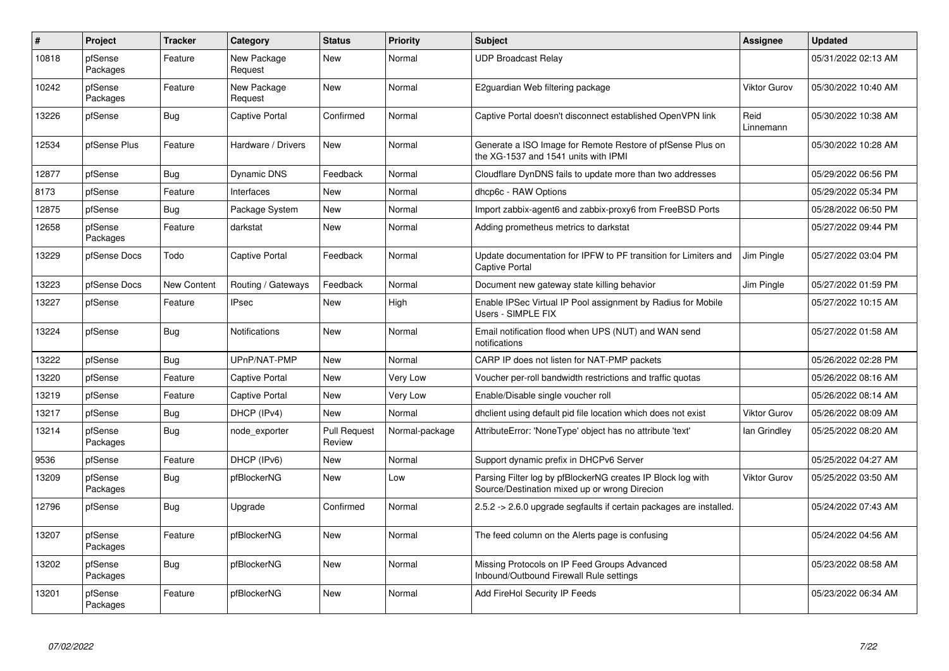| $\pmb{\#}$ | Project             | <b>Tracker</b>     | Category               | <b>Status</b>                 | <b>Priority</b> | <b>Subject</b>                                                                                               | Assignee            | <b>Updated</b>      |
|------------|---------------------|--------------------|------------------------|-------------------------------|-----------------|--------------------------------------------------------------------------------------------------------------|---------------------|---------------------|
| 10818      | pfSense<br>Packages | Feature            | New Package<br>Request | New                           | Normal          | <b>UDP Broadcast Relay</b>                                                                                   |                     | 05/31/2022 02:13 AM |
| 10242      | pfSense<br>Packages | Feature            | New Package<br>Request | <b>New</b>                    | Normal          | E2guardian Web filtering package                                                                             | <b>Viktor Gurov</b> | 05/30/2022 10:40 AM |
| 13226      | pfSense             | <b>Bug</b>         | <b>Captive Portal</b>  | Confirmed                     | Normal          | Captive Portal doesn't disconnect established OpenVPN link                                                   | Reid<br>Linnemann   | 05/30/2022 10:38 AM |
| 12534      | pfSense Plus        | Feature            | Hardware / Drivers     | <b>New</b>                    | Normal          | Generate a ISO Image for Remote Restore of pfSense Plus on<br>the XG-1537 and 1541 units with IPMI           |                     | 05/30/2022 10:28 AM |
| 12877      | pfSense             | <b>Bug</b>         | <b>Dynamic DNS</b>     | Feedback                      | Normal          | Cloudflare DynDNS fails to update more than two addresses                                                    |                     | 05/29/2022 06:56 PM |
| 8173       | pfSense             | Feature            | Interfaces             | <b>New</b>                    | Normal          | dhcp6c - RAW Options                                                                                         |                     | 05/29/2022 05:34 PM |
| 12875      | pfSense             | <b>Bug</b>         | Package System         | New                           | Normal          | Import zabbix-agent6 and zabbix-proxy6 from FreeBSD Ports                                                    |                     | 05/28/2022 06:50 PM |
| 12658      | pfSense<br>Packages | Feature            | darkstat               | New                           | Normal          | Adding prometheus metrics to darkstat                                                                        |                     | 05/27/2022 09:44 PM |
| 13229      | pfSense Docs        | Todo               | <b>Captive Portal</b>  | Feedback                      | Normal          | Update documentation for IPFW to PF transition for Limiters and<br><b>Captive Portal</b>                     | Jim Pingle          | 05/27/2022 03:04 PM |
| 13223      | pfSense Docs        | <b>New Content</b> | Routing / Gateways     | Feedback                      | Normal          | Document new gateway state killing behavior                                                                  | Jim Pingle          | 05/27/2022 01:59 PM |
| 13227      | pfSense             | Feature            | <b>IPsec</b>           | <b>New</b>                    | High            | Enable IPSec Virtual IP Pool assignment by Radius for Mobile<br>Users - SIMPLE FIX                           |                     | 05/27/2022 10:15 AM |
| 13224      | pfSense             | Bug                | Notifications          | New                           | Normal          | Email notification flood when UPS (NUT) and WAN send<br>notifications                                        |                     | 05/27/2022 01:58 AM |
| 13222      | pfSense             | Bug                | UPnP/NAT-PMP           | <b>New</b>                    | Normal          | CARP IP does not listen for NAT-PMP packets                                                                  |                     | 05/26/2022 02:28 PM |
| 13220      | pfSense             | Feature            | <b>Captive Portal</b>  | <b>New</b>                    | Very Low        | Voucher per-roll bandwidth restrictions and traffic quotas                                                   |                     | 05/26/2022 08:16 AM |
| 13219      | pfSense             | Feature            | <b>Captive Portal</b>  | <b>New</b>                    | Very Low        | Enable/Disable single voucher roll                                                                           |                     | 05/26/2022 08:14 AM |
| 13217      | pfSense             | Bug                | DHCP (IPv4)            | New                           | Normal          | dholient using default pid file location which does not exist                                                | Viktor Gurov        | 05/26/2022 08:09 AM |
| 13214      | pfSense<br>Packages | <b>Bug</b>         | node_exporter          | <b>Pull Request</b><br>Review | Normal-package  | AttributeError: 'NoneType' object has no attribute 'text'                                                    | lan Grindley        | 05/25/2022 08:20 AM |
| 9536       | pfSense             | Feature            | DHCP (IPv6)            | New                           | Normal          | Support dynamic prefix in DHCPv6 Server                                                                      |                     | 05/25/2022 04:27 AM |
| 13209      | pfSense<br>Packages | Bug                | pfBlockerNG            | <b>New</b>                    | Low             | Parsing Filter log by pfBlockerNG creates IP Block log with<br>Source/Destination mixed up or wrong Direcion | <b>Viktor Gurov</b> | 05/25/2022 03:50 AM |
| 12796      | pfSense             | <b>Bug</b>         | Upgrade                | Confirmed                     | Normal          | 2.5.2 -> 2.6.0 upgrade segfaults if certain packages are installed.                                          |                     | 05/24/2022 07:43 AM |
| 13207      | pfSense<br>Packages | Feature            | pfBlockerNG            | <b>New</b>                    | Normal          | The feed column on the Alerts page is confusing                                                              |                     | 05/24/2022 04:56 AM |
| 13202      | pfSense<br>Packages | <b>Bug</b>         | pfBlockerNG            | New                           | Normal          | Missing Protocols on IP Feed Groups Advanced<br>Inbound/Outbound Firewall Rule settings                      |                     | 05/23/2022 08:58 AM |
| 13201      | pfSense<br>Packages | Feature            | pfBlockerNG            | <b>New</b>                    | Normal          | Add FireHol Security IP Feeds                                                                                |                     | 05/23/2022 06:34 AM |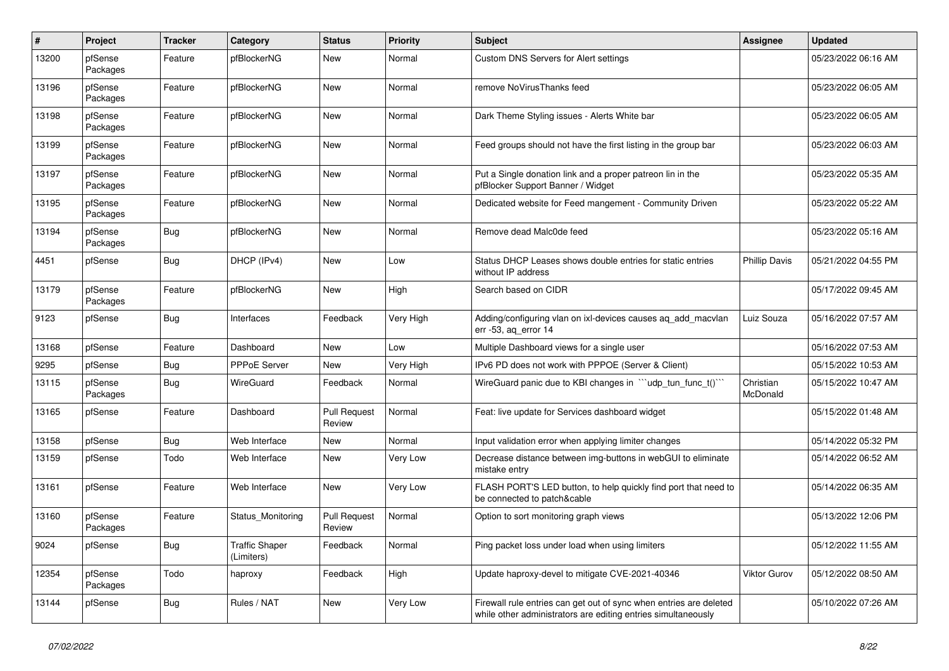| #     | Project             | <b>Tracker</b> | Category                     | <b>Status</b>                 | <b>Priority</b> | <b>Subject</b>                                                                                                                      | <b>Assignee</b>       | <b>Updated</b>      |
|-------|---------------------|----------------|------------------------------|-------------------------------|-----------------|-------------------------------------------------------------------------------------------------------------------------------------|-----------------------|---------------------|
| 13200 | pfSense<br>Packages | Feature        | pfBlockerNG                  | New                           | Normal          | Custom DNS Servers for Alert settings                                                                                               |                       | 05/23/2022 06:16 AM |
| 13196 | pfSense<br>Packages | Feature        | pfBlockerNG                  | <b>New</b>                    | Normal          | remove NoVirusThanks feed                                                                                                           |                       | 05/23/2022 06:05 AM |
| 13198 | pfSense<br>Packages | Feature        | pfBlockerNG                  | New                           | Normal          | Dark Theme Styling issues - Alerts White bar                                                                                        |                       | 05/23/2022 06:05 AM |
| 13199 | pfSense<br>Packages | Feature        | pfBlockerNG                  | New                           | Normal          | Feed groups should not have the first listing in the group bar                                                                      |                       | 05/23/2022 06:03 AM |
| 13197 | pfSense<br>Packages | Feature        | pfBlockerNG                  | <b>New</b>                    | Normal          | Put a Single donation link and a proper patreon lin in the<br>pfBlocker Support Banner / Widget                                     |                       | 05/23/2022 05:35 AM |
| 13195 | pfSense<br>Packages | Feature        | pfBlockerNG                  | New                           | Normal          | Dedicated website for Feed mangement - Community Driven                                                                             |                       | 05/23/2022 05:22 AM |
| 13194 | pfSense<br>Packages | <b>Bug</b>     | pfBlockerNG                  | New                           | Normal          | Remove dead Malc0de feed                                                                                                            |                       | 05/23/2022 05:16 AM |
| 4451  | pfSense             | Bug            | DHCP (IPv4)                  | New                           | Low             | Status DHCP Leases shows double entries for static entries<br>without IP address                                                    | <b>Phillip Davis</b>  | 05/21/2022 04:55 PM |
| 13179 | pfSense<br>Packages | Feature        | pfBlockerNG                  | <b>New</b>                    | High            | Search based on CIDR                                                                                                                |                       | 05/17/2022 09:45 AM |
| 9123  | pfSense             | <b>Bug</b>     | Interfaces                   | Feedback                      | Very High       | Adding/configuring vlan on ixl-devices causes aq_add_macvlan<br>err -53, ag error 14                                                | Luiz Souza            | 05/16/2022 07:57 AM |
| 13168 | pfSense             | Feature        | Dashboard                    | New                           | Low             | Multiple Dashboard views for a single user                                                                                          |                       | 05/16/2022 07:53 AM |
| 9295  | pfSense             | Bug            | <b>PPPoE Server</b>          | New                           | Very High       | IPv6 PD does not work with PPPOE (Server & Client)                                                                                  |                       | 05/15/2022 10:53 AM |
| 13115 | pfSense<br>Packages | Bug            | WireGuard                    | Feedback                      | Normal          | WireGuard panic due to KBI changes in "'udp_tun_func_t()'"                                                                          | Christian<br>McDonald | 05/15/2022 10:47 AM |
| 13165 | pfSense             | Feature        | Dashboard                    | <b>Pull Request</b><br>Review | Normal          | Feat: live update for Services dashboard widget                                                                                     |                       | 05/15/2022 01:48 AM |
| 13158 | pfSense             | <b>Bug</b>     | Web Interface                | New                           | Normal          | Input validation error when applying limiter changes                                                                                |                       | 05/14/2022 05:32 PM |
| 13159 | pfSense             | Todo           | Web Interface                | New                           | Very Low        | Decrease distance between img-buttons in webGUI to eliminate<br>mistake entry                                                       |                       | 05/14/2022 06:52 AM |
| 13161 | pfSense             | Feature        | Web Interface                | <b>New</b>                    | Very Low        | FLASH PORT'S LED button, to help quickly find port that need to<br>be connected to patch&cable                                      |                       | 05/14/2022 06:35 AM |
| 13160 | pfSense<br>Packages | Feature        | Status Monitoring            | <b>Pull Request</b><br>Review | Normal          | Option to sort monitoring graph views                                                                                               |                       | 05/13/2022 12:06 PM |
| 9024  | pfSense             | <b>Bug</b>     | Traffic Shaper<br>(Limiters) | Feedback                      | Normal          | Ping packet loss under load when using limiters                                                                                     |                       | 05/12/2022 11:55 AM |
| 12354 | pfSense<br>Packages | Todo           | haproxy                      | Feedback                      | High            | Update haproxy-devel to mitigate CVE-2021-40346                                                                                     | Viktor Gurov          | 05/12/2022 08:50 AM |
| 13144 | pfSense             | <b>Bug</b>     | Rules / NAT                  | <b>New</b>                    | Very Low        | Firewall rule entries can get out of sync when entries are deleted<br>while other administrators are editing entries simultaneously |                       | 05/10/2022 07:26 AM |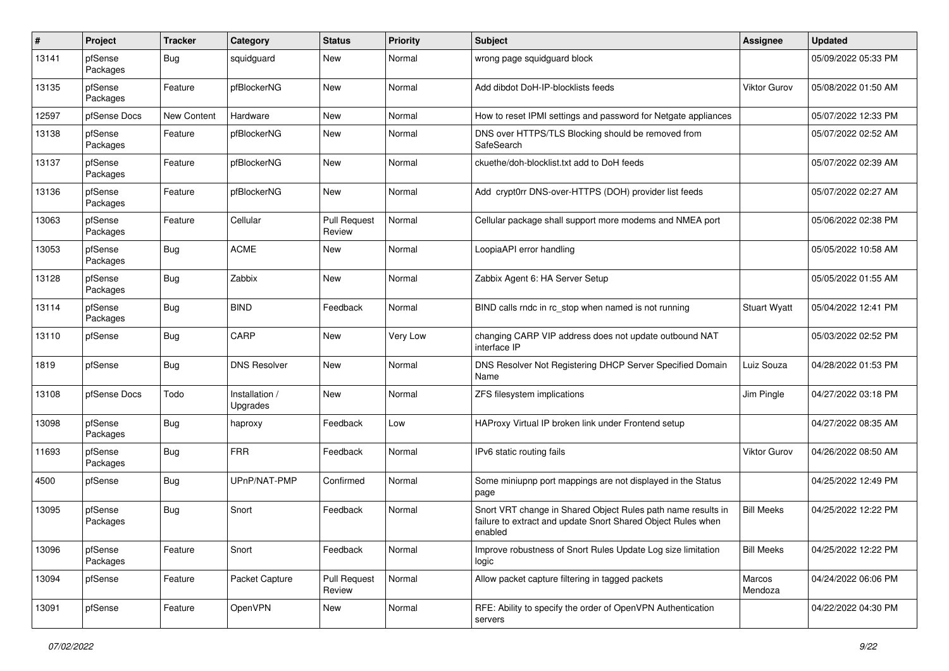| $\pmb{\#}$ | Project             | <b>Tracker</b> | Category                   | <b>Status</b>                 | <b>Priority</b> | <b>Subject</b>                                                                                                                          | <b>Assignee</b>     | <b>Updated</b>      |
|------------|---------------------|----------------|----------------------------|-------------------------------|-----------------|-----------------------------------------------------------------------------------------------------------------------------------------|---------------------|---------------------|
| 13141      | pfSense<br>Packages | <b>Bug</b>     | squidguard                 | New                           | Normal          | wrong page squidguard block                                                                                                             |                     | 05/09/2022 05:33 PM |
| 13135      | pfSense<br>Packages | Feature        | pfBlockerNG                | New                           | Normal          | Add dibdot DoH-IP-blocklists feeds                                                                                                      | Viktor Gurov        | 05/08/2022 01:50 AM |
| 12597      | pfSense Docs        | New Content    | Hardware                   | New                           | Normal          | How to reset IPMI settings and password for Netgate appliances                                                                          |                     | 05/07/2022 12:33 PM |
| 13138      | pfSense<br>Packages | Feature        | pfBlockerNG                | New                           | Normal          | DNS over HTTPS/TLS Blocking should be removed from<br>SafeSearch                                                                        |                     | 05/07/2022 02:52 AM |
| 13137      | pfSense<br>Packages | Feature        | pfBlockerNG                | <b>New</b>                    | Normal          | ckuethe/doh-blocklist.txt add to DoH feeds                                                                                              |                     | 05/07/2022 02:39 AM |
| 13136      | pfSense<br>Packages | Feature        | pfBlockerNG                | <b>New</b>                    | Normal          | Add crypt0rr DNS-over-HTTPS (DOH) provider list feeds                                                                                   |                     | 05/07/2022 02:27 AM |
| 13063      | pfSense<br>Packages | Feature        | Cellular                   | <b>Pull Request</b><br>Review | Normal          | Cellular package shall support more modems and NMEA port                                                                                |                     | 05/06/2022 02:38 PM |
| 13053      | pfSense<br>Packages | <b>Bug</b>     | <b>ACME</b>                | New                           | Normal          | LoopiaAPI error handling                                                                                                                |                     | 05/05/2022 10:58 AM |
| 13128      | pfSense<br>Packages | Bug            | Zabbix                     | <b>New</b>                    | Normal          | Zabbix Agent 6: HA Server Setup                                                                                                         |                     | 05/05/2022 01:55 AM |
| 13114      | pfSense<br>Packages | <b>Bug</b>     | <b>BIND</b>                | Feedback                      | Normal          | BIND calls rndc in rc stop when named is not running                                                                                    | <b>Stuart Wyatt</b> | 05/04/2022 12:41 PM |
| 13110      | pfSense             | Bug            | CARP                       | <b>New</b>                    | Very Low        | changing CARP VIP address does not update outbound NAT<br>interface IP                                                                  |                     | 05/03/2022 02:52 PM |
| 1819       | pfSense             | <b>Bug</b>     | <b>DNS Resolver</b>        | <b>New</b>                    | Normal          | DNS Resolver Not Registering DHCP Server Specified Domain<br>Name                                                                       | Luiz Souza          | 04/28/2022 01:53 PM |
| 13108      | pfSense Docs        | Todo           | Installation /<br>Upgrades | <b>New</b>                    | Normal          | ZFS filesystem implications                                                                                                             | Jim Pingle          | 04/27/2022 03:18 PM |
| 13098      | pfSense<br>Packages | <b>Bug</b>     | haproxy                    | Feedback                      | Low             | HAProxy Virtual IP broken link under Frontend setup                                                                                     |                     | 04/27/2022 08:35 AM |
| 11693      | pfSense<br>Packages | <b>Bug</b>     | <b>FRR</b>                 | Feedback                      | Normal          | IPv6 static routing fails                                                                                                               | Viktor Gurov        | 04/26/2022 08:50 AM |
| 4500       | pfSense             | <b>Bug</b>     | UPnP/NAT-PMP               | Confirmed                     | Normal          | Some miniupnp port mappings are not displayed in the Status<br>page                                                                     |                     | 04/25/2022 12:49 PM |
| 13095      | pfSense<br>Packages | <b>Bug</b>     | Snort                      | Feedback                      | Normal          | Snort VRT change in Shared Object Rules path name results in<br>failure to extract and update Snort Shared Object Rules when<br>enabled | <b>Bill Meeks</b>   | 04/25/2022 12:22 PM |
| 13096      | pfSense<br>Packages | Feature        | Snort                      | Feedback                      | Normal          | Improve robustness of Snort Rules Update Log size limitation<br>logic                                                                   | <b>Bill Meeks</b>   | 04/25/2022 12:22 PM |
| 13094      | pfSense             | Feature        | Packet Capture             | <b>Pull Request</b><br>Review | Normal          | Allow packet capture filtering in tagged packets                                                                                        | Marcos<br>Mendoza   | 04/24/2022 06:06 PM |
| 13091      | pfSense             | Feature        | OpenVPN                    | New                           | Normal          | RFE: Ability to specify the order of OpenVPN Authentication<br>servers                                                                  |                     | 04/22/2022 04:30 PM |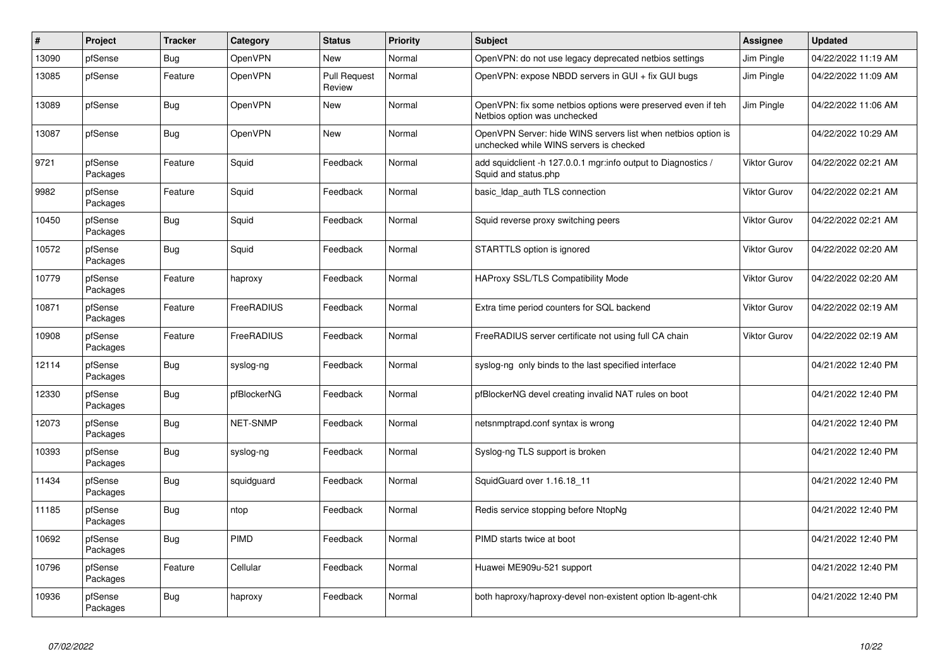| $\sharp$ | <b>Project</b>      | <b>Tracker</b> | Category        | <b>Status</b>                 | Priority | <b>Subject</b>                                                                                           | <b>Assignee</b>     | <b>Updated</b>      |
|----------|---------------------|----------------|-----------------|-------------------------------|----------|----------------------------------------------------------------------------------------------------------|---------------------|---------------------|
| 13090    | pfSense             | <b>Bug</b>     | <b>OpenVPN</b>  | <b>New</b>                    | Normal   | OpenVPN: do not use legacy deprecated netbios settings                                                   | Jim Pingle          | 04/22/2022 11:19 AM |
| 13085    | pfSense             | Feature        | OpenVPN         | <b>Pull Request</b><br>Review | Normal   | OpenVPN: expose NBDD servers in GUI + fix GUI bugs                                                       | Jim Pingle          | 04/22/2022 11:09 AM |
| 13089    | pfSense             | <b>Bug</b>     | OpenVPN         | New                           | Normal   | OpenVPN: fix some netbios options were preserved even if teh<br>Netbios option was unchecked             | Jim Pingle          | 04/22/2022 11:06 AM |
| 13087    | pfSense             | <b>Bug</b>     | OpenVPN         | New                           | Normal   | OpenVPN Server: hide WINS servers list when netbios option is<br>unchecked while WINS servers is checked |                     | 04/22/2022 10:29 AM |
| 9721     | pfSense<br>Packages | Feature        | Squid           | Feedback                      | Normal   | add squidclient -h 127.0.0.1 mgr:info output to Diagnostics /<br>Squid and status.php                    | <b>Viktor Gurov</b> | 04/22/2022 02:21 AM |
| 9982     | pfSense<br>Packages | Feature        | Squid           | Feedback                      | Normal   | basic Idap auth TLS connection                                                                           | Viktor Gurov        | 04/22/2022 02:21 AM |
| 10450    | pfSense<br>Packages | <b>Bug</b>     | Squid           | Feedback                      | Normal   | Squid reverse proxy switching peers                                                                      | <b>Viktor Gurov</b> | 04/22/2022 02:21 AM |
| 10572    | pfSense<br>Packages | Bug            | Squid           | Feedback                      | Normal   | STARTTLS option is ignored                                                                               | <b>Viktor Gurov</b> | 04/22/2022 02:20 AM |
| 10779    | pfSense<br>Packages | Feature        | haproxy         | Feedback                      | Normal   | HAProxy SSL/TLS Compatibility Mode                                                                       | <b>Viktor Gurov</b> | 04/22/2022 02:20 AM |
| 10871    | pfSense<br>Packages | Feature        | FreeRADIUS      | Feedback                      | Normal   | Extra time period counters for SQL backend                                                               | <b>Viktor Gurov</b> | 04/22/2022 02:19 AM |
| 10908    | pfSense<br>Packages | Feature        | FreeRADIUS      | Feedback                      | Normal   | FreeRADIUS server certificate not using full CA chain                                                    | <b>Viktor Gurov</b> | 04/22/2022 02:19 AM |
| 12114    | pfSense<br>Packages | <b>Bug</b>     | syslog-ng       | Feedback                      | Normal   | syslog-ng only binds to the last specified interface                                                     |                     | 04/21/2022 12:40 PM |
| 12330    | pfSense<br>Packages | Bug            | pfBlockerNG     | Feedback                      | Normal   | pfBlockerNG devel creating invalid NAT rules on boot                                                     |                     | 04/21/2022 12:40 PM |
| 12073    | pfSense<br>Packages | <b>Bug</b>     | <b>NET-SNMP</b> | Feedback                      | Normal   | netsnmptrapd.conf syntax is wrong                                                                        |                     | 04/21/2022 12:40 PM |
| 10393    | pfSense<br>Packages | <b>Bug</b>     | syslog-ng       | Feedback                      | Normal   | Syslog-ng TLS support is broken                                                                          |                     | 04/21/2022 12:40 PM |
| 11434    | pfSense<br>Packages | <b>Bug</b>     | squidguard      | Feedback                      | Normal   | SquidGuard over 1.16.18 11                                                                               |                     | 04/21/2022 12:40 PM |
| 11185    | pfSense<br>Packages | Bug            | ntop            | Feedback                      | Normal   | Redis service stopping before NtopNg                                                                     |                     | 04/21/2022 12:40 PM |
| 10692    | pfSense<br>Packages | <b>Bug</b>     | PIMD            | Feedback                      | Normal   | PIMD starts twice at boot                                                                                |                     | 04/21/2022 12:40 PM |
| 10796    | pfSense<br>Packages | Feature        | Cellular        | Feedback                      | Normal   | Huawei ME909u-521 support                                                                                |                     | 04/21/2022 12:40 PM |
| 10936    | pfSense<br>Packages | <b>Bug</b>     | haproxy         | Feedback                      | Normal   | both haproxy/haproxy-devel non-existent option Ib-agent-chk                                              |                     | 04/21/2022 12:40 PM |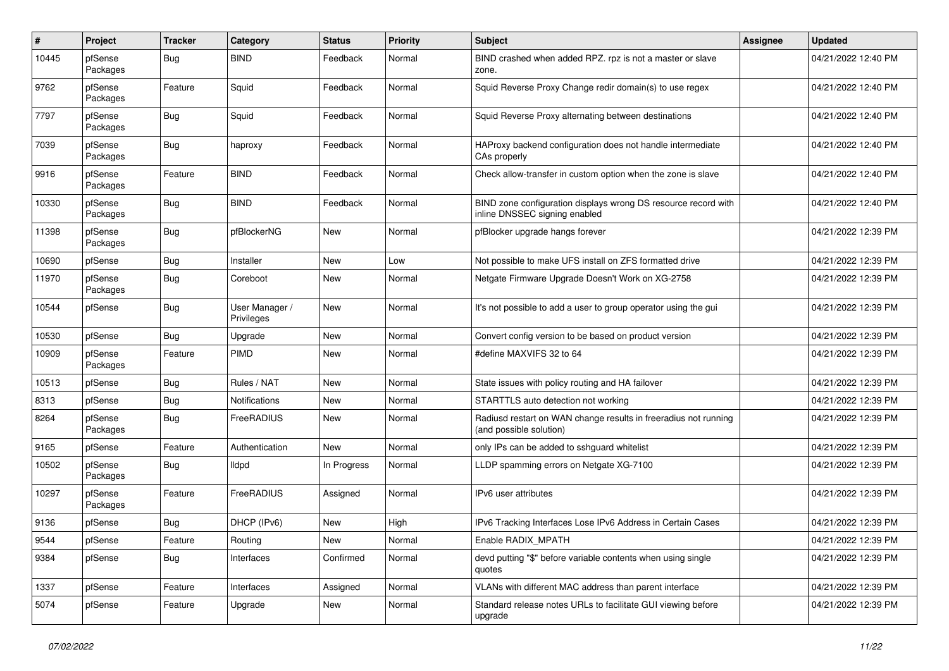| #     | Project             | <b>Tracker</b> | Category                     | <b>Status</b> | <b>Priority</b> | Subject                                                                                         | <b>Assignee</b> | <b>Updated</b>      |
|-------|---------------------|----------------|------------------------------|---------------|-----------------|-------------------------------------------------------------------------------------------------|-----------------|---------------------|
| 10445 | pfSense<br>Packages | <b>Bug</b>     | <b>BIND</b>                  | Feedback      | Normal          | BIND crashed when added RPZ. rpz is not a master or slave<br>zone.                              |                 | 04/21/2022 12:40 PM |
| 9762  | pfSense<br>Packages | Feature        | Squid                        | Feedback      | Normal          | Squid Reverse Proxy Change redir domain(s) to use regex                                         |                 | 04/21/2022 12:40 PM |
| 7797  | pfSense<br>Packages | Bug            | Squid                        | Feedback      | Normal          | Squid Reverse Proxy alternating between destinations                                            |                 | 04/21/2022 12:40 PM |
| 7039  | pfSense<br>Packages | Bug            | haproxy                      | Feedback      | Normal          | HAProxy backend configuration does not handle intermediate<br>CAs properly                      |                 | 04/21/2022 12:40 PM |
| 9916  | pfSense<br>Packages | Feature        | <b>BIND</b>                  | Feedback      | Normal          | Check allow-transfer in custom option when the zone is slave                                    |                 | 04/21/2022 12:40 PM |
| 10330 | pfSense<br>Packages | Bug            | <b>BIND</b>                  | Feedback      | Normal          | BIND zone configuration displays wrong DS resource record with<br>inline DNSSEC signing enabled |                 | 04/21/2022 12:40 PM |
| 11398 | pfSense<br>Packages | Bug            | pfBlockerNG                  | <b>New</b>    | Normal          | pfBlocker upgrade hangs forever                                                                 |                 | 04/21/2022 12:39 PM |
| 10690 | pfSense             | Bug            | Installer                    | New           | Low             | Not possible to make UFS install on ZFS formatted drive                                         |                 | 04/21/2022 12:39 PM |
| 11970 | pfSense<br>Packages | Bug            | Coreboot                     | <b>New</b>    | Normal          | Netgate Firmware Upgrade Doesn't Work on XG-2758                                                |                 | 04/21/2022 12:39 PM |
| 10544 | pfSense             | <b>Bug</b>     | User Manager /<br>Privileges | <b>New</b>    | Normal          | It's not possible to add a user to group operator using the gui                                 |                 | 04/21/2022 12:39 PM |
| 10530 | pfSense             | Bug            | Upgrade                      | New           | Normal          | Convert config version to be based on product version                                           |                 | 04/21/2022 12:39 PM |
| 10909 | pfSense<br>Packages | Feature        | <b>PIMD</b>                  | New           | Normal          | #define MAXVIFS 32 to 64                                                                        |                 | 04/21/2022 12:39 PM |
| 10513 | pfSense             | Bug            | Rules / NAT                  | New           | Normal          | State issues with policy routing and HA failover                                                |                 | 04/21/2022 12:39 PM |
| 8313  | pfSense             | <b>Bug</b>     | Notifications                | <b>New</b>    | Normal          | STARTTLS auto detection not working                                                             |                 | 04/21/2022 12:39 PM |
| 8264  | pfSense<br>Packages | <b>Bug</b>     | FreeRADIUS                   | New           | Normal          | Radiusd restart on WAN change results in freeradius not running<br>(and possible solution)      |                 | 04/21/2022 12:39 PM |
| 9165  | pfSense             | Feature        | Authentication               | <b>New</b>    | Normal          | only IPs can be added to sshguard whitelist                                                     |                 | 04/21/2022 12:39 PM |
| 10502 | pfSense<br>Packages | Bug            | lldpd                        | In Progress   | Normal          | LLDP spamming errors on Netgate XG-7100                                                         |                 | 04/21/2022 12:39 PM |
| 10297 | pfSense<br>Packages | Feature        | FreeRADIUS                   | Assigned      | Normal          | IPv6 user attributes                                                                            |                 | 04/21/2022 12:39 PM |
| 9136  | pfSense             | Bug            | DHCP (IPv6)                  | <b>New</b>    | High            | IPv6 Tracking Interfaces Lose IPv6 Address in Certain Cases                                     |                 | 04/21/2022 12:39 PM |
| 9544  | pfSense             | Feature        | Routing                      | New           | Normal          | Enable RADIX_MPATH                                                                              |                 | 04/21/2022 12:39 PM |
| 9384  | pfSense             | Bug            | Interfaces                   | Confirmed     | Normal          | devd putting "\$" before variable contents when using single<br>quotes                          |                 | 04/21/2022 12:39 PM |
| 1337  | pfSense             | Feature        | Interfaces                   | Assigned      | Normal          | VLANs with different MAC address than parent interface                                          |                 | 04/21/2022 12:39 PM |
| 5074  | pfSense             | Feature        | Upgrade                      | New           | Normal          | Standard release notes URLs to facilitate GUI viewing before<br>upgrade                         |                 | 04/21/2022 12:39 PM |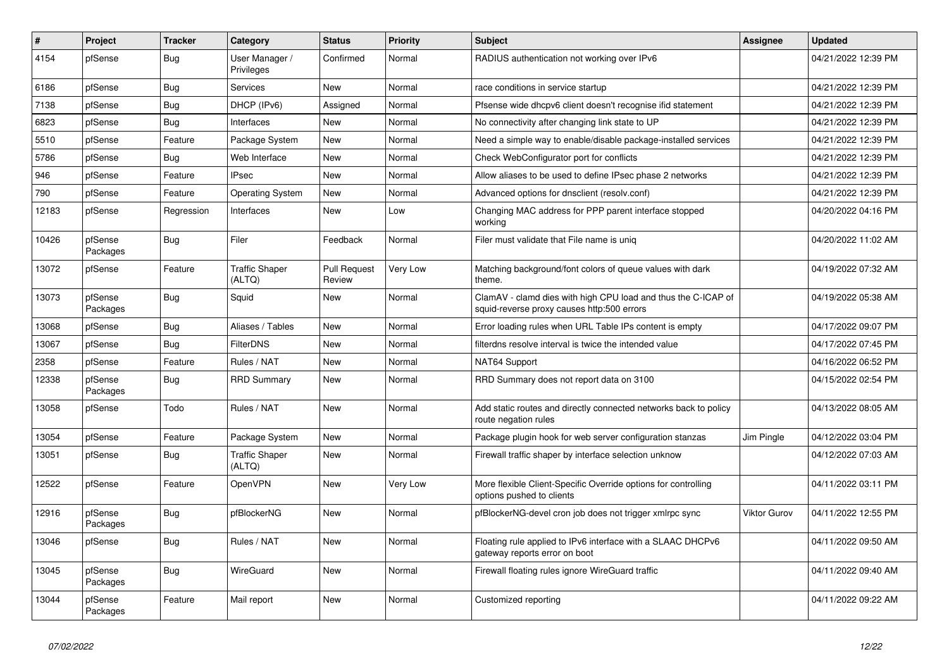| #     | Project             | <b>Tracker</b> | Category                        | <b>Status</b>                 | Priority | <b>Subject</b>                                                                                              | <b>Assignee</b>     | <b>Updated</b>      |
|-------|---------------------|----------------|---------------------------------|-------------------------------|----------|-------------------------------------------------------------------------------------------------------------|---------------------|---------------------|
| 4154  | pfSense             | Bug            | User Manager /<br>Privileges    | Confirmed                     | Normal   | RADIUS authentication not working over IPv6                                                                 |                     | 04/21/2022 12:39 PM |
| 6186  | pfSense             | <b>Bug</b>     | Services                        | New                           | Normal   | race conditions in service startup                                                                          |                     | 04/21/2022 12:39 PM |
| 7138  | pfSense             | <b>Bug</b>     | DHCP (IPv6)                     | Assigned                      | Normal   | Pfsense wide dhcpv6 client doesn't recognise if id statement                                                |                     | 04/21/2022 12:39 PM |
| 6823  | pfSense             | Bug            | Interfaces                      | New                           | Normal   | No connectivity after changing link state to UP                                                             |                     | 04/21/2022 12:39 PM |
| 5510  | pfSense             | Feature        | Package System                  | New                           | Normal   | Need a simple way to enable/disable package-installed services                                              |                     | 04/21/2022 12:39 PM |
| 5786  | pfSense             | <b>Bug</b>     | Web Interface                   | <b>New</b>                    | Normal   | Check WebConfigurator port for conflicts                                                                    |                     | 04/21/2022 12:39 PM |
| 946   | pfSense             | Feature        | <b>IPsec</b>                    | <b>New</b>                    | Normal   | Allow aliases to be used to define IPsec phase 2 networks                                                   |                     | 04/21/2022 12:39 PM |
| 790   | pfSense             | Feature        | <b>Operating System</b>         | New                           | Normal   | Advanced options for dnsclient (resolv.conf)                                                                |                     | 04/21/2022 12:39 PM |
| 12183 | pfSense             | Regression     | Interfaces                      | New                           | Low      | Changing MAC address for PPP parent interface stopped<br>working                                            |                     | 04/20/2022 04:16 PM |
| 10426 | pfSense<br>Packages | <b>Bug</b>     | Filer                           | Feedback                      | Normal   | Filer must validate that File name is unig                                                                  |                     | 04/20/2022 11:02 AM |
| 13072 | pfSense             | Feature        | <b>Traffic Shaper</b><br>(ALTQ) | <b>Pull Request</b><br>Review | Very Low | Matching background/font colors of queue values with dark<br>theme.                                         |                     | 04/19/2022 07:32 AM |
| 13073 | pfSense<br>Packages | <b>Bug</b>     | Squid                           | <b>New</b>                    | Normal   | ClamAV - clamd dies with high CPU load and thus the C-ICAP of<br>squid-reverse proxy causes http:500 errors |                     | 04/19/2022 05:38 AM |
| 13068 | pfSense             | <b>Bug</b>     | Aliases / Tables                | <b>New</b>                    | Normal   | Error loading rules when URL Table IPs content is empty                                                     |                     | 04/17/2022 09:07 PM |
| 13067 | pfSense             | <b>Bug</b>     | <b>FilterDNS</b>                | <b>New</b>                    | Normal   | filterdns resolve interval is twice the intended value                                                      |                     | 04/17/2022 07:45 PM |
| 2358  | pfSense             | Feature        | Rules / NAT                     | New                           | Normal   | NAT64 Support                                                                                               |                     | 04/16/2022 06:52 PM |
| 12338 | pfSense<br>Packages | Bug            | <b>RRD Summary</b>              | New                           | Normal   | RRD Summary does not report data on 3100                                                                    |                     | 04/15/2022 02:54 PM |
| 13058 | pfSense             | Todo           | Rules / NAT                     | <b>New</b>                    | Normal   | Add static routes and directly connected networks back to policy<br>route negation rules                    |                     | 04/13/2022 08:05 AM |
| 13054 | pfSense             | Feature        | Package System                  | <b>New</b>                    | Normal   | Package plugin hook for web server configuration stanzas                                                    | Jim Pingle          | 04/12/2022 03:04 PM |
| 13051 | pfSense             | <b>Bug</b>     | <b>Traffic Shaper</b><br>(ALTQ) | <b>New</b>                    | Normal   | Firewall traffic shaper by interface selection unknow                                                       |                     | 04/12/2022 07:03 AM |
| 12522 | pfSense             | Feature        | <b>OpenVPN</b>                  | <b>New</b>                    | Very Low | More flexible Client-Specific Override options for controlling<br>options pushed to clients                 |                     | 04/11/2022 03:11 PM |
| 12916 | pfSense<br>Packages | Bug            | pfBlockerNG                     | <b>New</b>                    | Normal   | pfBlockerNG-devel cron job does not trigger xmlrpc sync                                                     | <b>Viktor Gurov</b> | 04/11/2022 12:55 PM |
| 13046 | pfSense             | Bug            | Rules / NAT                     | New                           | Normal   | Floating rule applied to IPv6 interface with a SLAAC DHCPv6<br>gateway reports error on boot                |                     | 04/11/2022 09:50 AM |
| 13045 | pfSense<br>Packages | <b>Bug</b>     | WireGuard                       | <b>New</b>                    | Normal   | Firewall floating rules ignore WireGuard traffic                                                            |                     | 04/11/2022 09:40 AM |
| 13044 | pfSense<br>Packages | Feature        | Mail report                     | <b>New</b>                    | Normal   | Customized reporting                                                                                        |                     | 04/11/2022 09:22 AM |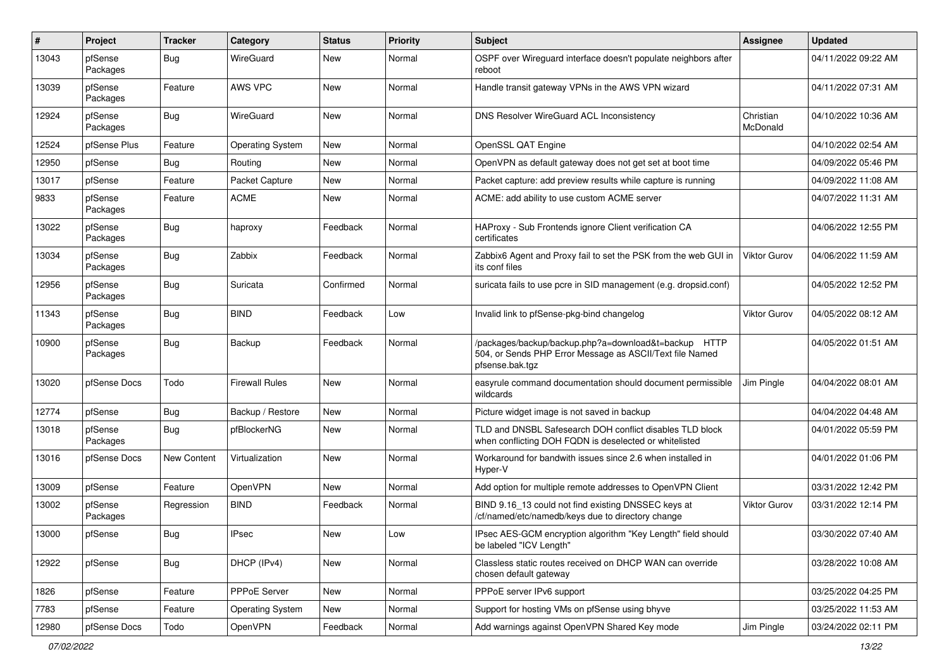| $\pmb{\#}$ | Project             | <b>Tracker</b>     | Category                | <b>Status</b> | Priority | Subject                                                                                                                             | <b>Assignee</b>       | <b>Updated</b>      |
|------------|---------------------|--------------------|-------------------------|---------------|----------|-------------------------------------------------------------------------------------------------------------------------------------|-----------------------|---------------------|
| 13043      | pfSense<br>Packages | Bug                | WireGuard               | New           | Normal   | OSPF over Wireguard interface doesn't populate neighbors after<br>reboot                                                            |                       | 04/11/2022 09:22 AM |
| 13039      | pfSense<br>Packages | Feature            | AWS VPC                 | <b>New</b>    | Normal   | Handle transit gateway VPNs in the AWS VPN wizard                                                                                   |                       | 04/11/2022 07:31 AM |
| 12924      | pfSense<br>Packages | Bug                | WireGuard               | <b>New</b>    | Normal   | DNS Resolver WireGuard ACL Inconsistency                                                                                            | Christian<br>McDonald | 04/10/2022 10:36 AM |
| 12524      | pfSense Plus        | Feature            | <b>Operating System</b> | New           | Normal   | OpenSSL QAT Engine                                                                                                                  |                       | 04/10/2022 02:54 AM |
| 12950      | pfSense             | Bug                | Routing                 | <b>New</b>    | Normal   | OpenVPN as default gateway does not get set at boot time                                                                            |                       | 04/09/2022 05:46 PM |
| 13017      | pfSense             | Feature            | Packet Capture          | <b>New</b>    | Normal   | Packet capture: add preview results while capture is running                                                                        |                       | 04/09/2022 11:08 AM |
| 9833       | pfSense<br>Packages | Feature            | <b>ACME</b>             | <b>New</b>    | Normal   | ACME: add ability to use custom ACME server                                                                                         |                       | 04/07/2022 11:31 AM |
| 13022      | pfSense<br>Packages | <b>Bug</b>         | haproxy                 | Feedback      | Normal   | HAProxy - Sub Frontends ignore Client verification CA<br>certificates                                                               |                       | 04/06/2022 12:55 PM |
| 13034      | pfSense<br>Packages | Bug                | Zabbix                  | Feedback      | Normal   | Zabbix6 Agent and Proxy fail to set the PSK from the web GUI in<br>its conf files                                                   | Viktor Gurov          | 04/06/2022 11:59 AM |
| 12956      | pfSense<br>Packages | <b>Bug</b>         | Suricata                | Confirmed     | Normal   | suricata fails to use pcre in SID management (e.g. dropsid.conf)                                                                    |                       | 04/05/2022 12:52 PM |
| 11343      | pfSense<br>Packages | <b>Bug</b>         | <b>BIND</b>             | Feedback      | Low      | Invalid link to pfSense-pkg-bind changelog                                                                                          | <b>Viktor Gurov</b>   | 04/05/2022 08:12 AM |
| 10900      | pfSense<br>Packages | Bug                | Backup                  | Feedback      | Normal   | /packages/backup/backup.php?a=download&t=backup HTTP<br>504, or Sends PHP Error Message as ASCII/Text file Named<br>pfsense.bak.tgz |                       | 04/05/2022 01:51 AM |
| 13020      | pfSense Docs        | Todo               | <b>Firewall Rules</b>   | New           | Normal   | easyrule command documentation should document permissible<br>wildcards                                                             | Jim Pingle            | 04/04/2022 08:01 AM |
| 12774      | pfSense             | Bug                | Backup / Restore        | <b>New</b>    | Normal   | Picture widget image is not saved in backup                                                                                         |                       | 04/04/2022 04:48 AM |
| 13018      | pfSense<br>Packages | Bug                | pfBlockerNG             | New           | Normal   | TLD and DNSBL Safesearch DOH conflict disables TLD block<br>when conflicting DOH FQDN is deselected or whitelisted                  |                       | 04/01/2022 05:59 PM |
| 13016      | pfSense Docs        | <b>New Content</b> | Virtualization          | New           | Normal   | Workaround for bandwith issues since 2.6 when installed in<br>Hyper-V                                                               |                       | 04/01/2022 01:06 PM |
| 13009      | pfSense             | Feature            | <b>OpenVPN</b>          | New           | Normal   | Add option for multiple remote addresses to OpenVPN Client                                                                          |                       | 03/31/2022 12:42 PM |
| 13002      | pfSense<br>Packages | Regression         | <b>BIND</b>             | Feedback      | Normal   | BIND 9.16_13 could not find existing DNSSEC keys at<br>/cf/named/etc/namedb/keys due to directory change                            | <b>Viktor Gurov</b>   | 03/31/2022 12:14 PM |
| 13000      | pfSense             | Bug                | <b>IPsec</b>            | New           | Low      | IPsec AES-GCM encryption algorithm "Key Length" field should<br>be labeled "ICV Length"                                             |                       | 03/30/2022 07:40 AM |
| 12922      | pfSense             | <b>Bug</b>         | DHCP (IPv4)             | New           | Normal   | Classless static routes received on DHCP WAN can override<br>chosen default gateway                                                 |                       | 03/28/2022 10:08 AM |
| 1826       | pfSense             | Feature            | PPPoE Server            | New           | Normal   | PPPoE server IPv6 support                                                                                                           |                       | 03/25/2022 04:25 PM |
| 7783       | pfSense             | Feature            | <b>Operating System</b> | New           | Normal   | Support for hosting VMs on pfSense using bhyve                                                                                      |                       | 03/25/2022 11:53 AM |
| 12980      | pfSense Docs        | Todo               | <b>OpenVPN</b>          | Feedback      | Normal   | Add warnings against OpenVPN Shared Key mode                                                                                        | Jim Pingle            | 03/24/2022 02:11 PM |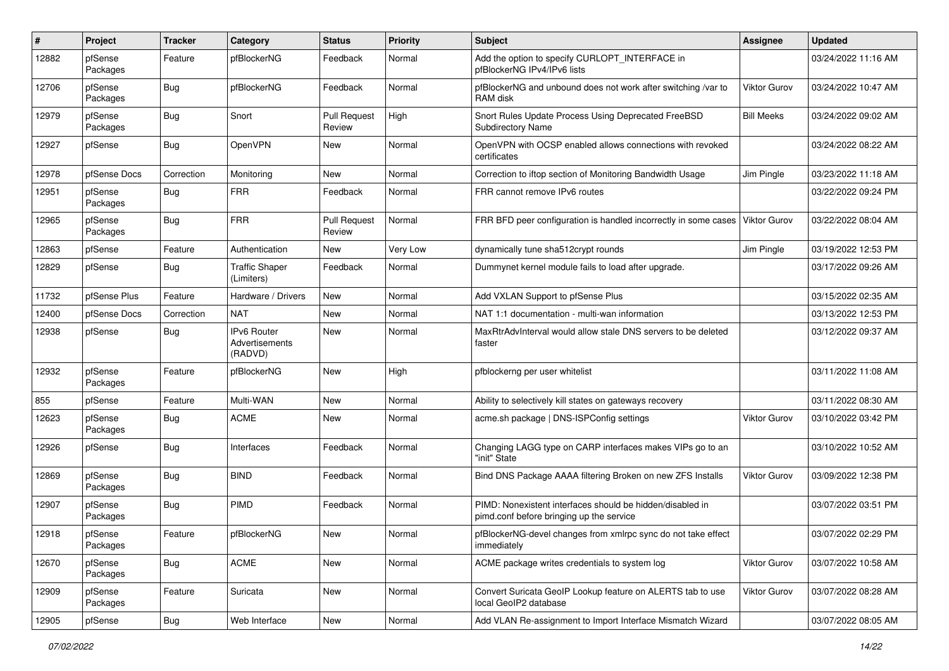| #     | Project             | <b>Tracker</b> | Category                                 | <b>Status</b>                 | <b>Priority</b> | Subject                                                                                               | <b>Assignee</b>     | <b>Updated</b>      |
|-------|---------------------|----------------|------------------------------------------|-------------------------------|-----------------|-------------------------------------------------------------------------------------------------------|---------------------|---------------------|
| 12882 | pfSense<br>Packages | Feature        | pfBlockerNG                              | Feedback                      | Normal          | Add the option to specify CURLOPT_INTERFACE in<br>pfBlockerNG IPv4/IPv6 lists                         |                     | 03/24/2022 11:16 AM |
| 12706 | pfSense<br>Packages | <b>Bug</b>     | pfBlockerNG                              | Feedback                      | Normal          | pfBlockerNG and unbound does not work after switching /var to<br>RAM disk                             | Viktor Gurov        | 03/24/2022 10:47 AM |
| 12979 | pfSense<br>Packages | <b>Bug</b>     | Snort                                    | <b>Pull Request</b><br>Review | High            | Snort Rules Update Process Using Deprecated FreeBSD<br><b>Subdirectory Name</b>                       | <b>Bill Meeks</b>   | 03/24/2022 09:02 AM |
| 12927 | pfSense             | Bug            | OpenVPN                                  | <b>New</b>                    | Normal          | OpenVPN with OCSP enabled allows connections with revoked<br>certificates                             |                     | 03/24/2022 08:22 AM |
| 12978 | pfSense Docs        | Correction     | Monitoring                               | New                           | Normal          | Correction to iftop section of Monitoring Bandwidth Usage                                             | Jim Pingle          | 03/23/2022 11:18 AM |
| 12951 | pfSense<br>Packages | Bug            | <b>FRR</b>                               | Feedback                      | Normal          | FRR cannot remove IPv6 routes                                                                         |                     | 03/22/2022 09:24 PM |
| 12965 | pfSense<br>Packages | <b>Bug</b>     | <b>FRR</b>                               | <b>Pull Request</b><br>Review | Normal          | FRR BFD peer configuration is handled incorrectly in some cases                                       | <b>Viktor Gurov</b> | 03/22/2022 08:04 AM |
| 12863 | pfSense             | Feature        | Authentication                           | New                           | Very Low        | dynamically tune sha512crypt rounds                                                                   | Jim Pingle          | 03/19/2022 12:53 PM |
| 12829 | pfSense             | Bug            | <b>Traffic Shaper</b><br>(Limiters)      | Feedback                      | Normal          | Dummynet kernel module fails to load after upgrade.                                                   |                     | 03/17/2022 09:26 AM |
| 11732 | pfSense Plus        | Feature        | Hardware / Drivers                       | New                           | Normal          | Add VXLAN Support to pfSense Plus                                                                     |                     | 03/15/2022 02:35 AM |
| 12400 | pfSense Docs        | Correction     | <b>NAT</b>                               | <b>New</b>                    | Normal          | NAT 1:1 documentation - multi-wan information                                                         |                     | 03/13/2022 12:53 PM |
| 12938 | pfSense             | Bug            | IPv6 Router<br>Advertisements<br>(RADVD) | <b>New</b>                    | Normal          | MaxRtrAdvInterval would allow stale DNS servers to be deleted<br>faster                               |                     | 03/12/2022 09:37 AM |
| 12932 | pfSense<br>Packages | Feature        | pfBlockerNG                              | New                           | High            | pfblockerng per user whitelist                                                                        |                     | 03/11/2022 11:08 AM |
| 855   | pfSense             | Feature        | Multi-WAN                                | <b>New</b>                    | Normal          | Ability to selectively kill states on gateways recovery                                               |                     | 03/11/2022 08:30 AM |
| 12623 | pfSense<br>Packages | <b>Bug</b>     | <b>ACME</b>                              | New                           | Normal          | acme.sh package   DNS-ISPConfig settings                                                              | <b>Viktor Gurov</b> | 03/10/2022 03:42 PM |
| 12926 | pfSense             | <b>Bug</b>     | Interfaces                               | Feedback                      | Normal          | Changing LAGG type on CARP interfaces makes VIPs go to an<br>"init" State                             |                     | 03/10/2022 10:52 AM |
| 12869 | pfSense<br>Packages | <b>Bug</b>     | <b>BIND</b>                              | Feedback                      | Normal          | Bind DNS Package AAAA filtering Broken on new ZFS Installs                                            | <b>Viktor Gurov</b> | 03/09/2022 12:38 PM |
| 12907 | pfSense<br>Packages | Bug            | <b>PIMD</b>                              | Feedback                      | Normal          | PIMD: Nonexistent interfaces should be hidden/disabled in<br>pimd.conf before bringing up the service |                     | 03/07/2022 03:51 PM |
| 12918 | pfSense<br>Packages | Feature        | pfBlockerNG                              | New                           | Normal          | pfBlockerNG-devel changes from xmlrpc sync do not take effect<br>immediately                          |                     | 03/07/2022 02:29 PM |
| 12670 | pfSense<br>Packages | <b>Bug</b>     | <b>ACME</b>                              | New                           | Normal          | ACME package writes credentials to system log                                                         | Viktor Gurov        | 03/07/2022 10:58 AM |
| 12909 | pfSense<br>Packages | Feature        | Suricata                                 | New                           | Normal          | Convert Suricata GeoIP Lookup feature on ALERTS tab to use<br>local GeoIP2 database                   | <b>Viktor Gurov</b> | 03/07/2022 08:28 AM |
| 12905 | pfSense             | Bug            | Web Interface                            | New                           | Normal          | Add VLAN Re-assignment to Import Interface Mismatch Wizard                                            |                     | 03/07/2022 08:05 AM |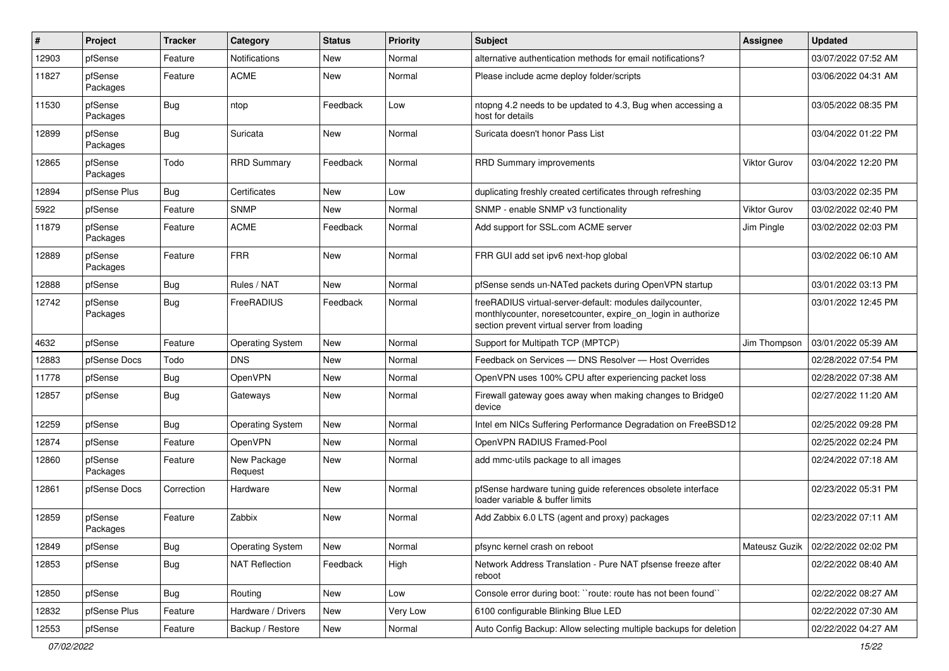| #     | Project             | <b>Tracker</b> | Category                | <b>Status</b> | <b>Priority</b> | <b>Subject</b>                                                                                                                                                          | Assignee      | <b>Updated</b>      |
|-------|---------------------|----------------|-------------------------|---------------|-----------------|-------------------------------------------------------------------------------------------------------------------------------------------------------------------------|---------------|---------------------|
| 12903 | pfSense             | Feature        | Notifications           | New           | Normal          | alternative authentication methods for email notifications?                                                                                                             |               | 03/07/2022 07:52 AM |
| 11827 | pfSense<br>Packages | Feature        | <b>ACME</b>             | <b>New</b>    | Normal          | Please include acme deploy folder/scripts                                                                                                                               |               | 03/06/2022 04:31 AM |
| 11530 | pfSense<br>Packages | Bug            | ntop                    | Feedback      | Low             | ntopng 4.2 needs to be updated to 4.3, Bug when accessing a<br>host for details                                                                                         |               | 03/05/2022 08:35 PM |
| 12899 | pfSense<br>Packages | <b>Bug</b>     | Suricata                | <b>New</b>    | Normal          | Suricata doesn't honor Pass List                                                                                                                                        |               | 03/04/2022 01:22 PM |
| 12865 | pfSense<br>Packages | Todo           | <b>RRD Summary</b>      | Feedback      | Normal          | <b>RRD Summary improvements</b>                                                                                                                                         | Viktor Gurov  | 03/04/2022 12:20 PM |
| 12894 | pfSense Plus        | Bug            | Certificates            | <b>New</b>    | Low             | duplicating freshly created certificates through refreshing                                                                                                             |               | 03/03/2022 02:35 PM |
| 5922  | pfSense             | Feature        | <b>SNMP</b>             | <b>New</b>    | Normal          | SNMP - enable SNMP v3 functionality                                                                                                                                     | Viktor Gurov  | 03/02/2022 02:40 PM |
| 11879 | pfSense<br>Packages | Feature        | <b>ACME</b>             | Feedback      | Normal          | Add support for SSL.com ACME server                                                                                                                                     | Jim Pingle    | 03/02/2022 02:03 PM |
| 12889 | pfSense<br>Packages | Feature        | <b>FRR</b>              | <b>New</b>    | Normal          | FRR GUI add set ipv6 next-hop global                                                                                                                                    |               | 03/02/2022 06:10 AM |
| 12888 | pfSense             | <b>Bug</b>     | Rules / NAT             | <b>New</b>    | Normal          | pfSense sends un-NATed packets during OpenVPN startup                                                                                                                   |               | 03/01/2022 03:13 PM |
| 12742 | pfSense<br>Packages | <b>Bug</b>     | FreeRADIUS              | Feedback      | Normal          | freeRADIUS virtual-server-default: modules dailycounter,<br>monthlycounter, noresetcounter, expire_on_login in authorize<br>section prevent virtual server from loading |               | 03/01/2022 12:45 PM |
| 4632  | pfSense             | Feature        | <b>Operating System</b> | New           | Normal          | Support for Multipath TCP (MPTCP)                                                                                                                                       | Jim Thompson  | 03/01/2022 05:39 AM |
| 12883 | pfSense Docs        | Todo           | <b>DNS</b>              | <b>New</b>    | Normal          | Feedback on Services - DNS Resolver - Host Overrides                                                                                                                    |               | 02/28/2022 07:54 PM |
| 11778 | pfSense             | <b>Bug</b>     | OpenVPN                 | New           | Normal          | OpenVPN uses 100% CPU after experiencing packet loss                                                                                                                    |               | 02/28/2022 07:38 AM |
| 12857 | pfSense             | Bug            | Gateways                | <b>New</b>    | Normal          | Firewall gateway goes away when making changes to Bridge0<br>device                                                                                                     |               | 02/27/2022 11:20 AM |
| 12259 | pfSense             | Bug            | <b>Operating System</b> | New           | Normal          | Intel em NICs Suffering Performance Degradation on FreeBSD12                                                                                                            |               | 02/25/2022 09:28 PM |
| 12874 | pfSense             | Feature        | OpenVPN                 | New           | Normal          | OpenVPN RADIUS Framed-Pool                                                                                                                                              |               | 02/25/2022 02:24 PM |
| 12860 | pfSense<br>Packages | Feature        | New Package<br>Request  | <b>New</b>    | Normal          | add mmc-utils package to all images                                                                                                                                     |               | 02/24/2022 07:18 AM |
| 12861 | pfSense Docs        | Correction     | Hardware                | <b>New</b>    | Normal          | pfSense hardware tuning guide references obsolete interface<br>loader variable & buffer limits                                                                          |               | 02/23/2022 05:31 PM |
| 12859 | pfSense<br>Packages | Feature        | Zabbix                  | <b>New</b>    | Normal          | Add Zabbix 6.0 LTS (agent and proxy) packages                                                                                                                           |               | 02/23/2022 07:11 AM |
| 12849 | pfSense             | <b>Bug</b>     | <b>Operating System</b> | New           | Normal          | pfsync kernel crash on reboot                                                                                                                                           | Mateusz Guzik | 02/22/2022 02:02 PM |
| 12853 | pfSense             | Bug            | <b>NAT Reflection</b>   | Feedback      | High            | Network Address Translation - Pure NAT pfsense freeze after<br>reboot                                                                                                   |               | 02/22/2022 08:40 AM |
| 12850 | pfSense             | Bug            | Routing                 | New           | Low             | Console error during boot: "route: route has not been found"                                                                                                            |               | 02/22/2022 08:27 AM |
| 12832 | pfSense Plus        | Feature        | Hardware / Drivers      | New           | Very Low        | 6100 configurable Blinking Blue LED                                                                                                                                     |               | 02/22/2022 07:30 AM |
| 12553 | pfSense             | Feature        | Backup / Restore        | New           | Normal          | Auto Config Backup: Allow selecting multiple backups for deletion                                                                                                       |               | 02/22/2022 04:27 AM |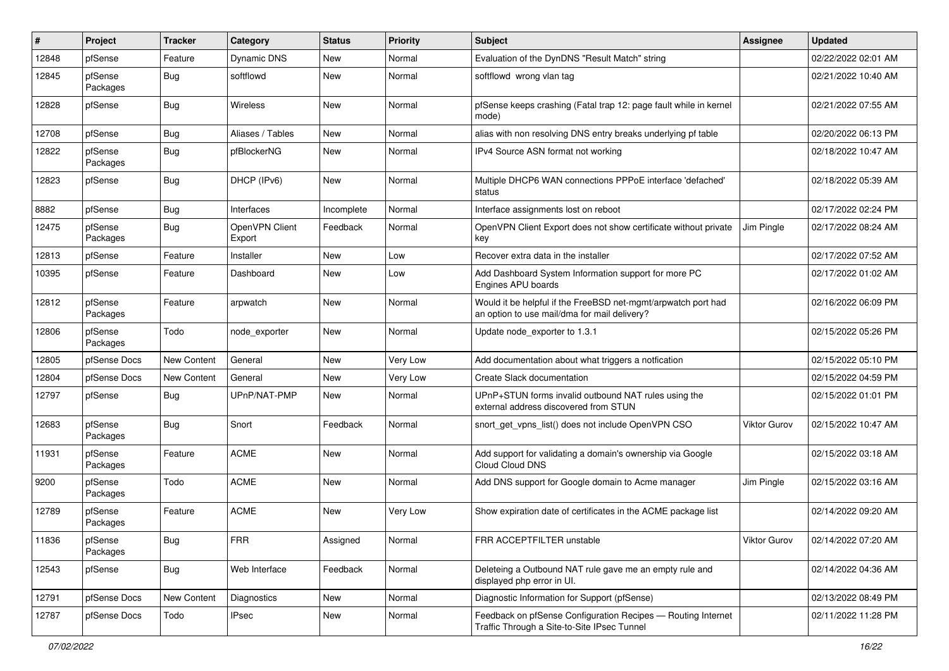| #     | Project             | <b>Tracker</b> | Category                 | <b>Status</b> | <b>Priority</b> | Subject                                                                                                       | <b>Assignee</b>     | <b>Updated</b>      |
|-------|---------------------|----------------|--------------------------|---------------|-----------------|---------------------------------------------------------------------------------------------------------------|---------------------|---------------------|
| 12848 | pfSense             | Feature        | Dynamic DNS              | New           | Normal          | Evaluation of the DynDNS "Result Match" string                                                                |                     | 02/22/2022 02:01 AM |
| 12845 | pfSense<br>Packages | Bug            | softflowd                | <b>New</b>    | Normal          | softflowd wrong vlan tag                                                                                      |                     | 02/21/2022 10:40 AM |
| 12828 | pfSense             | Bug            | <b>Wireless</b>          | <b>New</b>    | Normal          | pfSense keeps crashing (Fatal trap 12: page fault while in kernel<br>mode)                                    |                     | 02/21/2022 07:55 AM |
| 12708 | pfSense             | Bug            | Aliases / Tables         | <b>New</b>    | Normal          | alias with non resolving DNS entry breaks underlying pf table                                                 |                     | 02/20/2022 06:13 PM |
| 12822 | pfSense<br>Packages | <b>Bug</b>     | pfBlockerNG              | <b>New</b>    | Normal          | IPv4 Source ASN format not working                                                                            |                     | 02/18/2022 10:47 AM |
| 12823 | pfSense             | <b>Bug</b>     | DHCP (IPv6)              | <b>New</b>    | Normal          | Multiple DHCP6 WAN connections PPPoE interface 'defached'<br>status                                           |                     | 02/18/2022 05:39 AM |
| 8882  | pfSense             | <b>Bug</b>     | Interfaces               | Incomplete    | Normal          | Interface assignments lost on reboot                                                                          |                     | 02/17/2022 02:24 PM |
| 12475 | pfSense<br>Packages | Bug            | OpenVPN Client<br>Export | Feedback      | Normal          | OpenVPN Client Export does not show certificate without private<br>key                                        | Jim Pingle          | 02/17/2022 08:24 AM |
| 12813 | pfSense             | Feature        | Installer                | <b>New</b>    | Low             | Recover extra data in the installer                                                                           |                     | 02/17/2022 07:52 AM |
| 10395 | pfSense             | Feature        | Dashboard                | <b>New</b>    | Low             | Add Dashboard System Information support for more PC<br>Engines APU boards                                    |                     | 02/17/2022 01:02 AM |
| 12812 | pfSense<br>Packages | Feature        | arpwatch                 | <b>New</b>    | Normal          | Would it be helpful if the FreeBSD net-mgmt/arpwatch port had<br>an option to use mail/dma for mail delivery? |                     | 02/16/2022 06:09 PM |
| 12806 | pfSense<br>Packages | Todo           | node exporter            | <b>New</b>    | Normal          | Update node exporter to 1.3.1                                                                                 |                     | 02/15/2022 05:26 PM |
| 12805 | pfSense Docs        | New Content    | General                  | <b>New</b>    | Very Low        | Add documentation about what triggers a notfication                                                           |                     | 02/15/2022 05:10 PM |
| 12804 | pfSense Docs        | New Content    | General                  | <b>New</b>    | Very Low        | Create Slack documentation                                                                                    |                     | 02/15/2022 04:59 PM |
| 12797 | pfSense             | Bug            | UPnP/NAT-PMP             | New           | Normal          | UPnP+STUN forms invalid outbound NAT rules using the<br>external address discovered from STUN                 |                     | 02/15/2022 01:01 PM |
| 12683 | pfSense<br>Packages | <b>Bug</b>     | Snort                    | Feedback      | Normal          | snort_get_vpns_list() does not include OpenVPN CSO                                                            | <b>Viktor Gurov</b> | 02/15/2022 10:47 AM |
| 11931 | pfSense<br>Packages | Feature        | <b>ACME</b>              | <b>New</b>    | Normal          | Add support for validating a domain's ownership via Google<br>Cloud Cloud DNS                                 |                     | 02/15/2022 03:18 AM |
| 9200  | pfSense<br>Packages | Todo           | <b>ACME</b>              | <b>New</b>    | Normal          | Add DNS support for Google domain to Acme manager                                                             | Jim Pingle          | 02/15/2022 03:16 AM |
| 12789 | pfSense<br>Packages | Feature        | <b>ACME</b>              | New           | Very Low        | Show expiration date of certificates in the ACME package list                                                 |                     | 02/14/2022 09:20 AM |
| 11836 | pfSense<br>Packages | <b>Bug</b>     | FRR                      | Assigned      | Normal          | FRR ACCEPTFILTER unstable                                                                                     | <b>Viktor Gurov</b> | 02/14/2022 07:20 AM |
| 12543 | pfSense             | <b>Bug</b>     | Web Interface            | Feedback      | Normal          | Deleteing a Outbound NAT rule gave me an empty rule and<br>displayed php error in UI.                         |                     | 02/14/2022 04:36 AM |
| 12791 | pfSense Docs        | New Content    | Diagnostics              | New           | Normal          | Diagnostic Information for Support (pfSense)                                                                  |                     | 02/13/2022 08:49 PM |
| 12787 | pfSense Docs        | Todo           | <b>IPsec</b>             | New           | Normal          | Feedback on pfSense Configuration Recipes - Routing Internet<br>Traffic Through a Site-to-Site IPsec Tunnel   |                     | 02/11/2022 11:28 PM |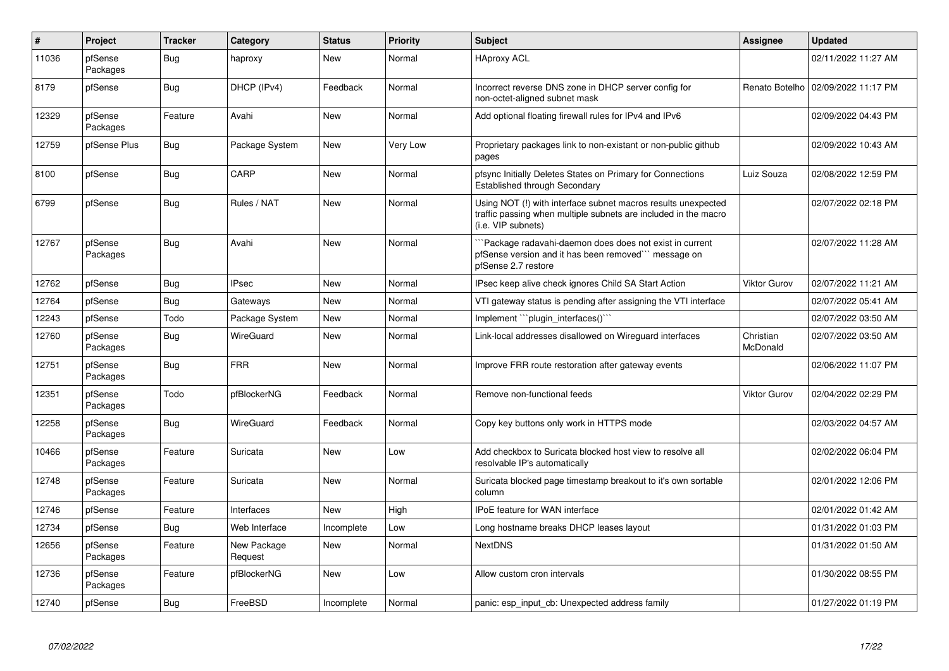| $\pmb{\#}$ | Project             | <b>Tracker</b> | Category               | <b>Status</b> | <b>Priority</b> | <b>Subject</b>                                                                                                                                         | Assignee              | <b>Updated</b>      |
|------------|---------------------|----------------|------------------------|---------------|-----------------|--------------------------------------------------------------------------------------------------------------------------------------------------------|-----------------------|---------------------|
| 11036      | pfSense<br>Packages | Bug            | haproxy                | New           | Normal          | <b>HAproxy ACL</b>                                                                                                                                     |                       | 02/11/2022 11:27 AM |
| 8179       | pfSense             | Bug            | DHCP (IPv4)            | Feedback      | Normal          | Incorrect reverse DNS zone in DHCP server config for<br>non-octet-aligned subnet mask                                                                  | Renato Botelho        | 02/09/2022 11:17 PM |
| 12329      | pfSense<br>Packages | Feature        | Avahi                  | <b>New</b>    | Normal          | Add optional floating firewall rules for IPv4 and IPv6                                                                                                 |                       | 02/09/2022 04:43 PM |
| 12759      | pfSense Plus        | <b>Bug</b>     | Package System         | New           | Very Low        | Proprietary packages link to non-existant or non-public github<br>pages                                                                                |                       | 02/09/2022 10:43 AM |
| 8100       | pfSense             | <b>Bug</b>     | CARP                   | <b>New</b>    | Normal          | pfsync Initially Deletes States on Primary for Connections<br>Established through Secondary                                                            | Luiz Souza            | 02/08/2022 12:59 PM |
| 6799       | pfSense             | <b>Bug</b>     | Rules / NAT            | New           | Normal          | Using NOT (!) with interface subnet macros results unexpected<br>traffic passing when multiple subnets are included in the macro<br>(i.e. VIP subnets) |                       | 02/07/2022 02:18 PM |
| 12767      | pfSense<br>Packages | Bug            | Avahi                  | <b>New</b>    | Normal          | Package radavahi-daemon does does not exist in current<br>pfSense version and it has been removed" message on<br>pfSense 2.7 restore                   |                       | 02/07/2022 11:28 AM |
| 12762      | pfSense             | <b>Bug</b>     | <b>IPsec</b>           | <b>New</b>    | Normal          | IPsec keep alive check ignores Child SA Start Action                                                                                                   | <b>Viktor Gurov</b>   | 02/07/2022 11:21 AM |
| 12764      | pfSense             | <b>Bug</b>     | Gateways               | <b>New</b>    | Normal          | VTI gateway status is pending after assigning the VTI interface                                                                                        |                       | 02/07/2022 05:41 AM |
| 12243      | pfSense             | Todo           | Package System         | New           | Normal          | Implement "``plugin_interfaces()``                                                                                                                     |                       | 02/07/2022 03:50 AM |
| 12760      | pfSense<br>Packages | <b>Bug</b>     | WireGuard              | <b>New</b>    | Normal          | Link-local addresses disallowed on Wirequard interfaces                                                                                                | Christian<br>McDonald | 02/07/2022 03:50 AM |
| 12751      | pfSense<br>Packages | Bug            | <b>FRR</b>             | New           | Normal          | Improve FRR route restoration after gateway events                                                                                                     |                       | 02/06/2022 11:07 PM |
| 12351      | pfSense<br>Packages | Todo           | pfBlockerNG            | Feedback      | Normal          | Remove non-functional feeds                                                                                                                            | <b>Viktor Gurov</b>   | 02/04/2022 02:29 PM |
| 12258      | pfSense<br>Packages | Bug            | WireGuard              | Feedback      | Normal          | Copy key buttons only work in HTTPS mode                                                                                                               |                       | 02/03/2022 04:57 AM |
| 10466      | pfSense<br>Packages | Feature        | Suricata               | New           | Low             | Add checkbox to Suricata blocked host view to resolve all<br>resolvable IP's automatically                                                             |                       | 02/02/2022 06:04 PM |
| 12748      | pfSense<br>Packages | Feature        | Suricata               | <b>New</b>    | Normal          | Suricata blocked page timestamp breakout to it's own sortable<br>column                                                                                |                       | 02/01/2022 12:06 PM |
| 12746      | pfSense             | Feature        | Interfaces             | <b>New</b>    | High            | <b>IPoE</b> feature for WAN interface                                                                                                                  |                       | 02/01/2022 01:42 AM |
| 12734      | pfSense             | <b>Bug</b>     | Web Interface          | Incomplete    | Low             | Long hostname breaks DHCP leases layout                                                                                                                |                       | 01/31/2022 01:03 PM |
| 12656      | pfSense<br>Packages | Feature        | New Package<br>Request | New           | Normal          | <b>NextDNS</b>                                                                                                                                         |                       | 01/31/2022 01:50 AM |
| 12736      | pfSense<br>Packages | Feature        | pfBlockerNG            | New           | Low             | Allow custom cron intervals                                                                                                                            |                       | 01/30/2022 08:55 PM |
| 12740      | pfSense             | Bug            | FreeBSD                | Incomplete    | Normal          | panic: esp input cb: Unexpected address family                                                                                                         |                       | 01/27/2022 01:19 PM |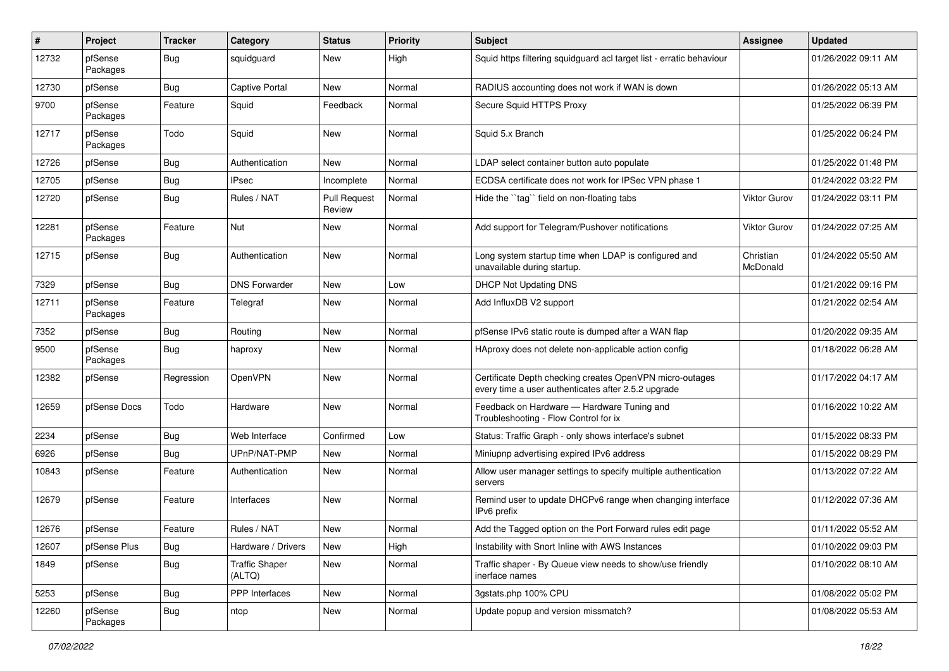| $\#$  | Project             | <b>Tracker</b> | Category                        | <b>Status</b>                 | <b>Priority</b> | Subject                                                                                                         | <b>Assignee</b>       | <b>Updated</b>      |
|-------|---------------------|----------------|---------------------------------|-------------------------------|-----------------|-----------------------------------------------------------------------------------------------------------------|-----------------------|---------------------|
| 12732 | pfSense<br>Packages | Bug            | squidguard                      | New                           | High            | Squid https filtering squidguard acl target list - erratic behaviour                                            |                       | 01/26/2022 09:11 AM |
| 12730 | pfSense             | Bug            | <b>Captive Portal</b>           | New                           | Normal          | RADIUS accounting does not work if WAN is down                                                                  |                       | 01/26/2022 05:13 AM |
| 9700  | pfSense<br>Packages | Feature        | Squid                           | Feedback                      | Normal          | Secure Squid HTTPS Proxy                                                                                        |                       | 01/25/2022 06:39 PM |
| 12717 | pfSense<br>Packages | Todo           | Squid                           | New                           | Normal          | Squid 5.x Branch                                                                                                |                       | 01/25/2022 06:24 PM |
| 12726 | pfSense             | Bug            | Authentication                  | New                           | Normal          | LDAP select container button auto populate                                                                      |                       | 01/25/2022 01:48 PM |
| 12705 | pfSense             | Bug            | <b>IPsec</b>                    | Incomplete                    | Normal          | ECDSA certificate does not work for IPSec VPN phase 1                                                           |                       | 01/24/2022 03:22 PM |
| 12720 | pfSense             | Bug            | Rules / NAT                     | <b>Pull Request</b><br>Review | Normal          | Hide the "tag" field on non-floating tabs                                                                       | <b>Viktor Gurov</b>   | 01/24/2022 03:11 PM |
| 12281 | pfSense<br>Packages | Feature        | Nut                             | New                           | Normal          | Add support for Telegram/Pushover notifications                                                                 | <b>Viktor Gurov</b>   | 01/24/2022 07:25 AM |
| 12715 | pfSense             | <b>Bug</b>     | Authentication                  | <b>New</b>                    | Normal          | Long system startup time when LDAP is configured and<br>unavailable during startup.                             | Christian<br>McDonald | 01/24/2022 05:50 AM |
| 7329  | pfSense             | <b>Bug</b>     | <b>DNS Forwarder</b>            | <b>New</b>                    | Low             | DHCP Not Updating DNS                                                                                           |                       | 01/21/2022 09:16 PM |
| 12711 | pfSense<br>Packages | Feature        | Telegraf                        | New                           | Normal          | Add InfluxDB V2 support                                                                                         |                       | 01/21/2022 02:54 AM |
| 7352  | pfSense             | Bug            | Routing                         | New                           | Normal          | pfSense IPv6 static route is dumped after a WAN flap                                                            |                       | 01/20/2022 09:35 AM |
| 9500  | pfSense<br>Packages | Bug            | haproxy                         | New                           | Normal          | HAproxy does not delete non-applicable action config                                                            |                       | 01/18/2022 06:28 AM |
| 12382 | pfSense             | Regression     | <b>OpenVPN</b>                  | New                           | Normal          | Certificate Depth checking creates OpenVPN micro-outages<br>every time a user authenticates after 2.5.2 upgrade |                       | 01/17/2022 04:17 AM |
| 12659 | pfSense Docs        | Todo           | Hardware                        | <b>New</b>                    | Normal          | Feedback on Hardware - Hardware Tuning and<br>Troubleshooting - Flow Control for ix                             |                       | 01/16/2022 10:22 AM |
| 2234  | pfSense             | Bug            | Web Interface                   | Confirmed                     | Low             | Status: Traffic Graph - only shows interface's subnet                                                           |                       | 01/15/2022 08:33 PM |
| 6926  | pfSense             | <b>Bug</b>     | UPnP/NAT-PMP                    | <b>New</b>                    | Normal          | Miniupnp advertising expired IPv6 address                                                                       |                       | 01/15/2022 08:29 PM |
| 10843 | pfSense             | Feature        | Authentication                  | New                           | Normal          | Allow user manager settings to specify multiple authentication<br>servers                                       |                       | 01/13/2022 07:22 AM |
| 12679 | pfSense             | Feature        | Interfaces                      | <b>New</b>                    | Normal          | Remind user to update DHCPv6 range when changing interface<br>IPv6 prefix                                       |                       | 01/12/2022 07:36 AM |
| 12676 | pfSense             | Feature        | Rules / NAT                     | New                           | Normal          | Add the Tagged option on the Port Forward rules edit page                                                       |                       | 01/11/2022 05:52 AM |
| 12607 | pfSense Plus        | Bug            | Hardware / Drivers              | New                           | High            | Instability with Snort Inline with AWS Instances                                                                |                       | 01/10/2022 09:03 PM |
| 1849  | pfSense             | <b>Bug</b>     | <b>Traffic Shaper</b><br>(ALTQ) | New                           | Normal          | Traffic shaper - By Queue view needs to show/use friendly<br>inerface names                                     |                       | 01/10/2022 08:10 AM |
| 5253  | pfSense             | Bug            | PPP Interfaces                  | New                           | Normal          | 3gstats.php 100% CPU                                                                                            |                       | 01/08/2022 05:02 PM |
| 12260 | pfSense<br>Packages | Bug            | ntop                            | New                           | Normal          | Update popup and version missmatch?                                                                             |                       | 01/08/2022 05:53 AM |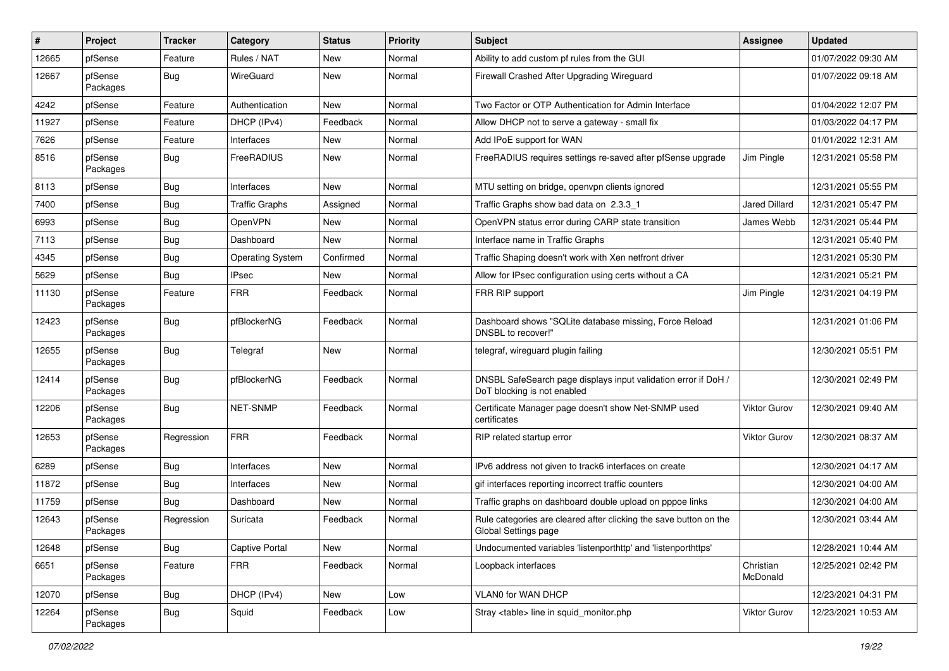| #     | Project             | <b>Tracker</b> | Category                | <b>Status</b> | <b>Priority</b> | <b>Subject</b>                                                                                | <b>Assignee</b>       | <b>Updated</b>      |
|-------|---------------------|----------------|-------------------------|---------------|-----------------|-----------------------------------------------------------------------------------------------|-----------------------|---------------------|
| 12665 | pfSense             | Feature        | Rules / NAT             | New           | Normal          | Ability to add custom pf rules from the GUI                                                   |                       | 01/07/2022 09:30 AM |
| 12667 | pfSense<br>Packages | <b>Bug</b>     | WireGuard               | <b>New</b>    | Normal          | Firewall Crashed After Upgrading Wireguard                                                    |                       | 01/07/2022 09:18 AM |
| 4242  | pfSense             | Feature        | Authentication          | <b>New</b>    | Normal          | Two Factor or OTP Authentication for Admin Interface                                          |                       | 01/04/2022 12:07 PM |
| 11927 | pfSense             | Feature        | DHCP (IPv4)             | Feedback      | Normal          | Allow DHCP not to serve a gateway - small fix                                                 |                       | 01/03/2022 04:17 PM |
| 7626  | pfSense             | Feature        | Interfaces              | New           | Normal          | Add IPoE support for WAN                                                                      |                       | 01/01/2022 12:31 AM |
| 8516  | pfSense<br>Packages | Bug            | FreeRADIUS              | New           | Normal          | FreeRADIUS requires settings re-saved after pfSense upgrade                                   | Jim Pingle            | 12/31/2021 05:58 PM |
| 8113  | pfSense             | Bug            | Interfaces              | New           | Normal          | MTU setting on bridge, openvpn clients ignored                                                |                       | 12/31/2021 05:55 PM |
| 7400  | pfSense             | <b>Bug</b>     | <b>Traffic Graphs</b>   | Assigned      | Normal          | Traffic Graphs show bad data on 2.3.3 1                                                       | <b>Jared Dillard</b>  | 12/31/2021 05:47 PM |
| 6993  | pfSense             | Bug            | OpenVPN                 | New           | Normal          | OpenVPN status error during CARP state transition                                             | James Webb            | 12/31/2021 05:44 PM |
| 7113  | pfSense             | <b>Bug</b>     | Dashboard               | New           | Normal          | Interface name in Traffic Graphs                                                              |                       | 12/31/2021 05:40 PM |
| 4345  | pfSense             | <b>Bug</b>     | <b>Operating System</b> | Confirmed     | Normal          | Traffic Shaping doesn't work with Xen netfront driver                                         |                       | 12/31/2021 05:30 PM |
| 5629  | pfSense             | Bug            | <b>IPsec</b>            | New           | Normal          | Allow for IPsec configuration using certs without a CA                                        |                       | 12/31/2021 05:21 PM |
| 11130 | pfSense<br>Packages | Feature        | <b>FRR</b>              | Feedback      | Normal          | FRR RIP support                                                                               | Jim Pingle            | 12/31/2021 04:19 PM |
| 12423 | pfSense<br>Packages | Bug            | pfBlockerNG             | Feedback      | Normal          | Dashboard shows "SQLite database missing, Force Reload<br>DNSBL to recover!"                  |                       | 12/31/2021 01:06 PM |
| 12655 | pfSense<br>Packages | <b>Bug</b>     | Telegraf                | New           | Normal          | telegraf, wireguard plugin failing                                                            |                       | 12/30/2021 05:51 PM |
| 12414 | pfSense<br>Packages | <b>Bug</b>     | pfBlockerNG             | Feedback      | Normal          | DNSBL SafeSearch page displays input validation error if DoH /<br>DoT blocking is not enabled |                       | 12/30/2021 02:49 PM |
| 12206 | pfSense<br>Packages | <b>Bug</b>     | <b>NET-SNMP</b>         | Feedback      | Normal          | Certificate Manager page doesn't show Net-SNMP used<br>certificates                           | <b>Viktor Gurov</b>   | 12/30/2021 09:40 AM |
| 12653 | pfSense<br>Packages | Regression     | <b>FRR</b>              | Feedback      | Normal          | RIP related startup error                                                                     | Viktor Gurov          | 12/30/2021 08:37 AM |
| 6289  | pfSense             | <b>Bug</b>     | Interfaces              | <b>New</b>    | Normal          | IPv6 address not given to track6 interfaces on create                                         |                       | 12/30/2021 04:17 AM |
| 11872 | pfSense             | Bug            | Interfaces              | New           | Normal          | gif interfaces reporting incorrect traffic counters                                           |                       | 12/30/2021 04:00 AM |
| 11759 | pfSense             | <b>Bug</b>     | Dashboard               | New           | Normal          | Traffic graphs on dashboard double upload on pppoe links                                      |                       | 12/30/2021 04:00 AM |
| 12643 | pfSense<br>Packages | Regression     | Suricata                | Feedback      | Normal          | Rule categories are cleared after clicking the save button on the<br>Global Settings page     |                       | 12/30/2021 03:44 AM |
| 12648 | pfSense             | <b>Bug</b>     | <b>Captive Portal</b>   | New           | Normal          | Undocumented variables 'listenporthttp' and 'listenporthttps'                                 |                       | 12/28/2021 10:44 AM |
| 6651  | pfSense<br>Packages | Feature        | <b>FRR</b>              | Feedback      | Normal          | Loopback interfaces                                                                           | Christian<br>McDonald | 12/25/2021 02:42 PM |
| 12070 | pfSense             | <b>Bug</b>     | DHCP (IPv4)             | New           | Low             | VLAN0 for WAN DHCP                                                                            |                       | 12/23/2021 04:31 PM |
| 12264 | pfSense<br>Packages | Bug            | Squid                   | Feedback      | Low             | Stray <table> line in squid_monitor.php</table>                                               | Viktor Gurov          | 12/23/2021 10:53 AM |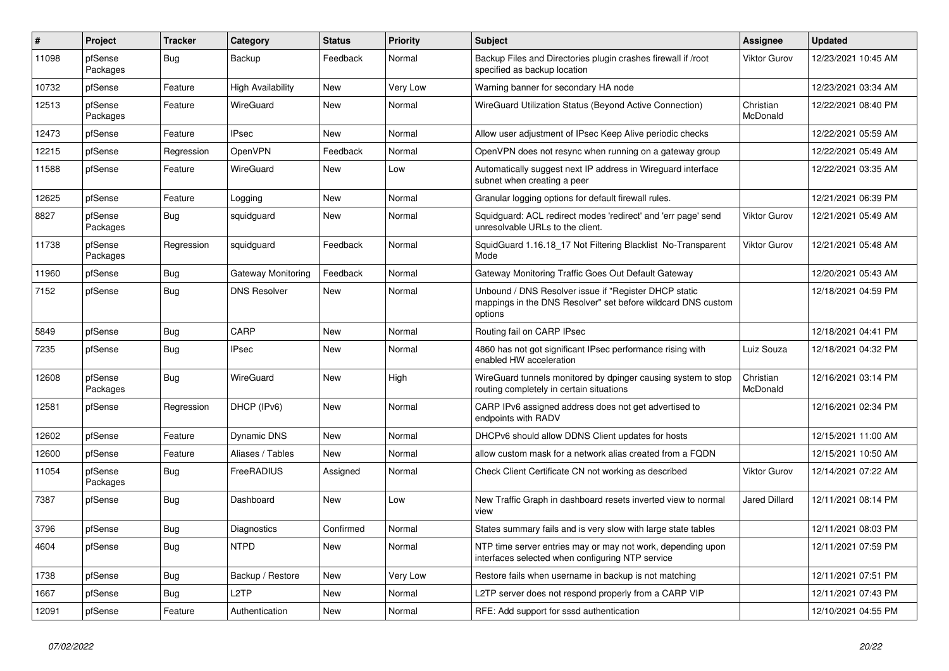| $\overline{\boldsymbol{H}}$ | Project             | <b>Tracker</b> | Category            | <b>Status</b> | Priority | <b>Subject</b>                                                                                                                   | Assignee              | <b>Updated</b>      |
|-----------------------------|---------------------|----------------|---------------------|---------------|----------|----------------------------------------------------------------------------------------------------------------------------------|-----------------------|---------------------|
| 11098                       | pfSense<br>Packages | <b>Bug</b>     | Backup              | Feedback      | Normal   | Backup Files and Directories plugin crashes firewall if /root<br>specified as backup location                                    | <b>Viktor Gurov</b>   | 12/23/2021 10:45 AM |
| 10732                       | pfSense             | Feature        | High Availability   | New           | Very Low | Warning banner for secondary HA node                                                                                             |                       | 12/23/2021 03:34 AM |
| 12513                       | pfSense<br>Packages | Feature        | WireGuard           | <b>New</b>    | Normal   | WireGuard Utilization Status (Beyond Active Connection)                                                                          | Christian<br>McDonald | 12/22/2021 08:40 PM |
| 12473                       | pfSense             | Feature        | <b>IPsec</b>        | New           | Normal   | Allow user adjustment of IPsec Keep Alive periodic checks                                                                        |                       | 12/22/2021 05:59 AM |
| 12215                       | pfSense             | Regression     | <b>OpenVPN</b>      | Feedback      | Normal   | OpenVPN does not resync when running on a gateway group                                                                          |                       | 12/22/2021 05:49 AM |
| 11588                       | pfSense             | Feature        | WireGuard           | New           | Low      | Automatically suggest next IP address in Wireguard interface<br>subnet when creating a peer                                      |                       | 12/22/2021 03:35 AM |
| 12625                       | pfSense             | Feature        | Logging             | <b>New</b>    | Normal   | Granular logging options for default firewall rules.                                                                             |                       | 12/21/2021 06:39 PM |
| 8827                        | pfSense<br>Packages | Bug            | squidguard          | <b>New</b>    | Normal   | Squidguard: ACL redirect modes 'redirect' and 'err page' send<br>unresolvable URLs to the client.                                | <b>Viktor Gurov</b>   | 12/21/2021 05:49 AM |
| 11738                       | pfSense<br>Packages | Regression     | squidguard          | Feedback      | Normal   | SquidGuard 1.16.18 17 Not Filtering Blacklist No-Transparent<br>Mode                                                             | <b>Viktor Gurov</b>   | 12/21/2021 05:48 AM |
| 11960                       | pfSense             | Bug            | Gateway Monitoring  | Feedback      | Normal   | Gateway Monitoring Traffic Goes Out Default Gateway                                                                              |                       | 12/20/2021 05:43 AM |
| 7152                        | pfSense             | Bug            | <b>DNS Resolver</b> | New           | Normal   | Unbound / DNS Resolver issue if "Register DHCP static<br>mappings in the DNS Resolver" set before wildcard DNS custom<br>options |                       | 12/18/2021 04:59 PM |
| 5849                        | pfSense             | <b>Bug</b>     | CARP                | New           | Normal   | Routing fail on CARP IPsec                                                                                                       |                       | 12/18/2021 04:41 PM |
| 7235                        | pfSense             | <b>Bug</b>     | <b>IPsec</b>        | New           | Normal   | 4860 has not got significant IPsec performance rising with<br>enabled HW acceleration                                            | Luiz Souza            | 12/18/2021 04:32 PM |
| 12608                       | pfSense<br>Packages | <b>Bug</b>     | WireGuard           | New           | High     | WireGuard tunnels monitored by dpinger causing system to stop<br>routing completely in certain situations                        | Christian<br>McDonald | 12/16/2021 03:14 PM |
| 12581                       | pfSense             | Regression     | DHCP (IPv6)         | <b>New</b>    | Normal   | CARP IPv6 assigned address does not get advertised to<br>endpoints with RADV                                                     |                       | 12/16/2021 02:34 PM |
| 12602                       | pfSense             | Feature        | <b>Dynamic DNS</b>  | <b>New</b>    | Normal   | DHCPv6 should allow DDNS Client updates for hosts                                                                                |                       | 12/15/2021 11:00 AM |
| 12600                       | pfSense             | Feature        | Aliases / Tables    | <b>New</b>    | Normal   | allow custom mask for a network alias created from a FQDN                                                                        |                       | 12/15/2021 10:50 AM |
| 11054                       | pfSense<br>Packages | Bug            | FreeRADIUS          | Assigned      | Normal   | Check Client Certificate CN not working as described                                                                             | <b>Viktor Gurov</b>   | 12/14/2021 07:22 AM |
| 7387                        | pfSense             | <b>Bug</b>     | Dashboard           | <b>New</b>    | Low      | New Traffic Graph in dashboard resets inverted view to normal<br>view                                                            | <b>Jared Dillard</b>  | 12/11/2021 08:14 PM |
| 3796                        | pfSense             | Bug            | Diagnostics         | Confirmed     | Normal   | States summary fails and is very slow with large state tables                                                                    |                       | 12/11/2021 08:03 PM |
| 4604                        | pfSense             | <b>Bug</b>     | <b>NTPD</b>         | <b>New</b>    | Normal   | NTP time server entries may or may not work, depending upon<br>interfaces selected when configuring NTP service                  |                       | 12/11/2021 07:59 PM |
| 1738                        | pfSense             | Bug            | Backup / Restore    | New           | Very Low | Restore fails when username in backup is not matching                                                                            |                       | 12/11/2021 07:51 PM |
| 1667                        | pfSense             | <b>Bug</b>     | L2TP                | <b>New</b>    | Normal   | L2TP server does not respond properly from a CARP VIP                                                                            |                       | 12/11/2021 07:43 PM |
| 12091                       | pfSense             | Feature        | Authentication      | <b>New</b>    | Normal   | RFE: Add support for sssd authentication                                                                                         |                       | 12/10/2021 04:55 PM |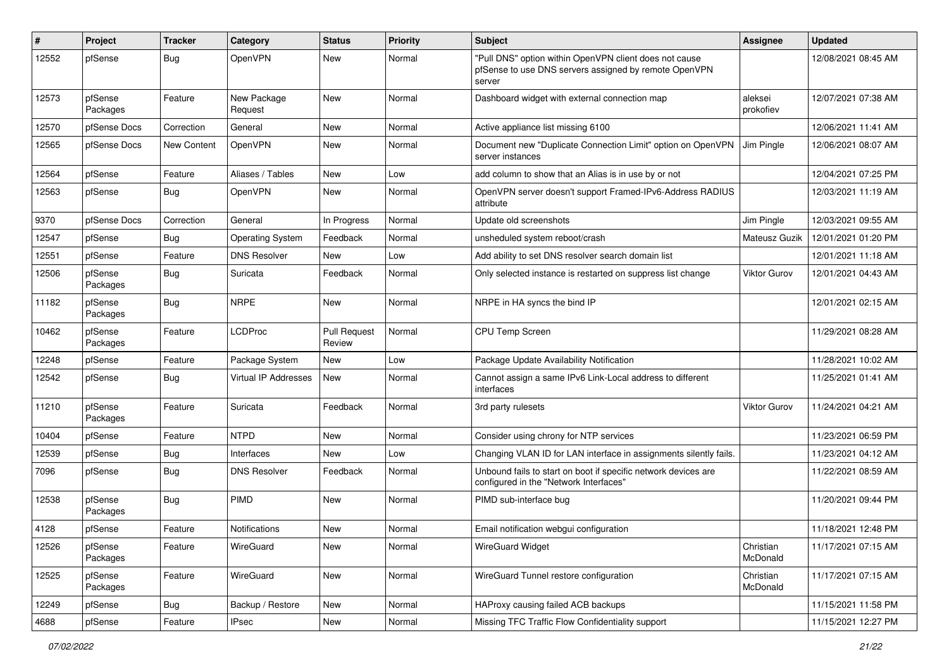| $\pmb{\#}$ | Project             | <b>Tracker</b> | Category                    | <b>Status</b>                 | <b>Priority</b> | <b>Subject</b>                                                                                                            | <b>Assignee</b>       | <b>Updated</b>      |
|------------|---------------------|----------------|-----------------------------|-------------------------------|-----------------|---------------------------------------------------------------------------------------------------------------------------|-----------------------|---------------------|
| 12552      | pfSense             | <b>Bug</b>     | OpenVPN                     | New                           | Normal          | "Pull DNS" option within OpenVPN client does not cause<br>pfSense to use DNS servers assigned by remote OpenVPN<br>server |                       | 12/08/2021 08:45 AM |
| 12573      | pfSense<br>Packages | Feature        | New Package<br>Request      | New                           | Normal          | Dashboard widget with external connection map                                                                             | aleksei<br>prokofiev  | 12/07/2021 07:38 AM |
| 12570      | pfSense Docs        | Correction     | General                     | New                           | Normal          | Active appliance list missing 6100                                                                                        |                       | 12/06/2021 11:41 AM |
| 12565      | pfSense Docs        | New Content    | OpenVPN                     | New                           | Normal          | Document new "Duplicate Connection Limit" option on OpenVPN<br>server instances                                           | Jim Pingle            | 12/06/2021 08:07 AM |
| 12564      | pfSense             | Feature        | Aliases / Tables            | <b>New</b>                    | Low             | add column to show that an Alias is in use by or not                                                                      |                       | 12/04/2021 07:25 PM |
| 12563      | pfSense             | <b>Bug</b>     | OpenVPN                     | <b>New</b>                    | Normal          | OpenVPN server doesn't support Framed-IPv6-Address RADIUS<br>attribute                                                    |                       | 12/03/2021 11:19 AM |
| 9370       | pfSense Docs        | Correction     | General                     | In Progress                   | Normal          | Update old screenshots                                                                                                    | Jim Pingle            | 12/03/2021 09:55 AM |
| 12547      | pfSense             | <b>Bug</b>     | <b>Operating System</b>     | Feedback                      | Normal          | unsheduled system reboot/crash                                                                                            | Mateusz Guzik         | 12/01/2021 01:20 PM |
| 12551      | pfSense             | Feature        | <b>DNS Resolver</b>         | New                           | Low             | Add ability to set DNS resolver search domain list                                                                        |                       | 12/01/2021 11:18 AM |
| 12506      | pfSense<br>Packages | <b>Bug</b>     | Suricata                    | Feedback                      | Normal          | Only selected instance is restarted on suppress list change                                                               | <b>Viktor Gurov</b>   | 12/01/2021 04:43 AM |
| 11182      | pfSense<br>Packages | <b>Bug</b>     | <b>NRPE</b>                 | New                           | Normal          | NRPE in HA syncs the bind IP                                                                                              |                       | 12/01/2021 02:15 AM |
| 10462      | pfSense<br>Packages | Feature        | <b>LCDProc</b>              | <b>Pull Request</b><br>Review | Normal          | CPU Temp Screen                                                                                                           |                       | 11/29/2021 08:28 AM |
| 12248      | pfSense             | Feature        | Package System              | <b>New</b>                    | Low             | Package Update Availability Notification                                                                                  |                       | 11/28/2021 10:02 AM |
| 12542      | pfSense             | <b>Bug</b>     | <b>Virtual IP Addresses</b> | New                           | Normal          | Cannot assign a same IPv6 Link-Local address to different<br>interfaces                                                   |                       | 11/25/2021 01:41 AM |
| 11210      | pfSense<br>Packages | Feature        | Suricata                    | Feedback                      | Normal          | 3rd party rulesets                                                                                                        | <b>Viktor Gurov</b>   | 11/24/2021 04:21 AM |
| 10404      | pfSense             | Feature        | <b>NTPD</b>                 | New                           | Normal          | Consider using chrony for NTP services                                                                                    |                       | 11/23/2021 06:59 PM |
| 12539      | pfSense             | <b>Bug</b>     | Interfaces                  | <b>New</b>                    | Low             | Changing VLAN ID for LAN interface in assignments silently fails.                                                         |                       | 11/23/2021 04:12 AM |
| 7096       | pfSense             | Bug            | <b>DNS Resolver</b>         | Feedback                      | Normal          | Unbound fails to start on boot if specific network devices are<br>configured in the "Network Interfaces"                  |                       | 11/22/2021 08:59 AM |
| 12538      | pfSense<br>Packages | Bug            | <b>PIMD</b>                 | New                           | Normal          | PIMD sub-interface bug                                                                                                    |                       | 11/20/2021 09:44 PM |
| 4128       | pfSense             | Feature        | Notifications               | New                           | Normal          | Email notification webgui configuration                                                                                   |                       | 11/18/2021 12:48 PM |
| 12526      | pfSense<br>Packages | Feature        | WireGuard                   | New                           | Normal          | <b>WireGuard Widget</b>                                                                                                   | Christian<br>McDonald | 11/17/2021 07:15 AM |
| 12525      | pfSense<br>Packages | Feature        | WireGuard                   | New                           | Normal          | WireGuard Tunnel restore configuration                                                                                    | Christian<br>McDonald | 11/17/2021 07:15 AM |
| 12249      | pfSense             | <b>Bug</b>     | Backup / Restore            | New                           | Normal          | HAProxy causing failed ACB backups                                                                                        |                       | 11/15/2021 11:58 PM |
| 4688       | pfSense             | Feature        | <b>IPsec</b>                | New                           | Normal          | Missing TFC Traffic Flow Confidentiality support                                                                          |                       | 11/15/2021 12:27 PM |